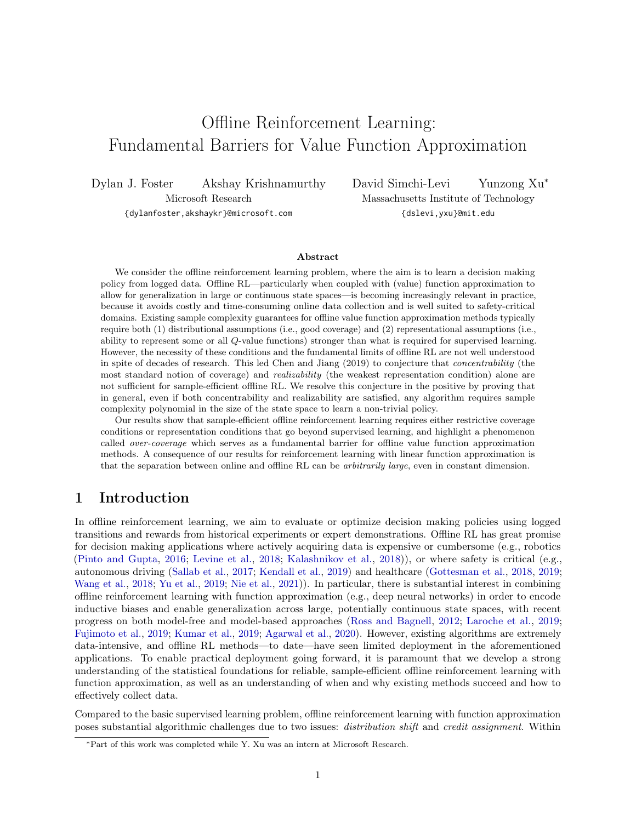# Offline Reinforcement Learning: Fundamental Barriers for Value Function Approximation

Dylan J. Foster Akshay Krishnamurthy Microsoft Research

{dylanfoster,akshaykr}@microsoft.com

David Simchi-Levi Yunzong Xu<sup>∗</sup> Massachusetts Institute of Technology {dslevi,yxu}@mit.edu

#### Abstract

We consider the offline reinforcement learning problem, where the aim is to learn a decision making policy from logged data. Offline RL—particularly when coupled with (value) function approximation to allow for generalization in large or continuous state spaces—is becoming increasingly relevant in practice, because it avoids costly and time-consuming online data collection and is well suited to safety-critical domains. Existing sample complexity guarantees for offline value function approximation methods typically require both (1) distributional assumptions (i.e., good coverage) and (2) representational assumptions (i.e., ability to represent some or all Q-value functions) stronger than what is required for supervised learning. However, the necessity of these conditions and the fundamental limits of offline RL are not well understood in spite of decades of research. This led Chen and Jiang (2019) to conjecture that concentrability (the most standard notion of coverage) and realizability (the weakest representation condition) alone are not sufficient for sample-efficient offline RL. We resolve this conjecture in the positive by proving that in general, even if both concentrability and realizability are satisfied, any algorithm requires sample complexity polynomial in the size of the state space to learn a non-trivial policy.

Our results show that sample-efficient offline reinforcement learning requires either restrictive coverage conditions or representation conditions that go beyond supervised learning, and highlight a phenomenon called over-coverage which serves as a fundamental barrier for offline value function approximation methods. A consequence of our results for reinforcement learning with linear function approximation is that the separation between online and offline RL can be arbitrarily large, even in constant dimension.

# 1 Introduction

In offline reinforcement learning, we aim to evaluate or optimize decision making policies using logged transitions and rewards from historical experiments or expert demonstrations. Offline RL has great promise for decision making applications where actively acquiring data is expensive or cumbersome (e.g., robotics [\(Pinto and Gupta,](#page-14-0) [2016;](#page-14-0) [Levine et al.,](#page-14-1) [2018;](#page-14-1) [Kalashnikov et al.,](#page-13-0) [2018\)](#page-13-0)), or where safety is critical (e.g., autonomous driving [\(Sallab et al.,](#page-14-2) [2017;](#page-14-2) [Kendall et al.,](#page-13-1) [2019\)](#page-13-1) and healthcare [\(Gottesman et al.,](#page-13-2) [2018,](#page-13-2) [2019;](#page-13-3) [Wang et al.,](#page-14-3) [2018;](#page-14-3) [Yu et al.,](#page-15-0) [2019;](#page-15-0) [Nie et al.,](#page-14-4) [2021\)](#page-14-4)). In particular, there is substantial interest in combining offline reinforcement learning with function approximation (e.g., deep neural networks) in order to encode inductive biases and enable generalization across large, potentially continuous state spaces, with recent progress on both model-free and model-based approaches [\(Ross and Bagnell,](#page-14-5) [2012;](#page-14-5) [Laroche et al.,](#page-14-6) [2019;](#page-14-6) [Fujimoto et al.,](#page-13-4) [2019;](#page-13-4) [Kumar et al.,](#page-14-7) [2019;](#page-14-7) [Agarwal et al.,](#page-13-5) [2020\)](#page-13-5). However, existing algorithms are extremely data-intensive, and offline RL methods—to date—have seen limited deployment in the aforementioned applications. To enable practical deployment going forward, it is paramount that we develop a strong understanding of the statistical foundations for reliable, sample-efficient offline reinforcement learning with function approximation, as well as an understanding of when and why existing methods succeed and how to effectively collect data.

Compared to the basic supervised learning problem, offline reinforcement learning with function approximation poses substantial algorithmic challenges due to two issues: distribution shift and credit assignment. Within

<sup>∗</sup>Part of this work was completed while Y. Xu was an intern at Microsoft Research.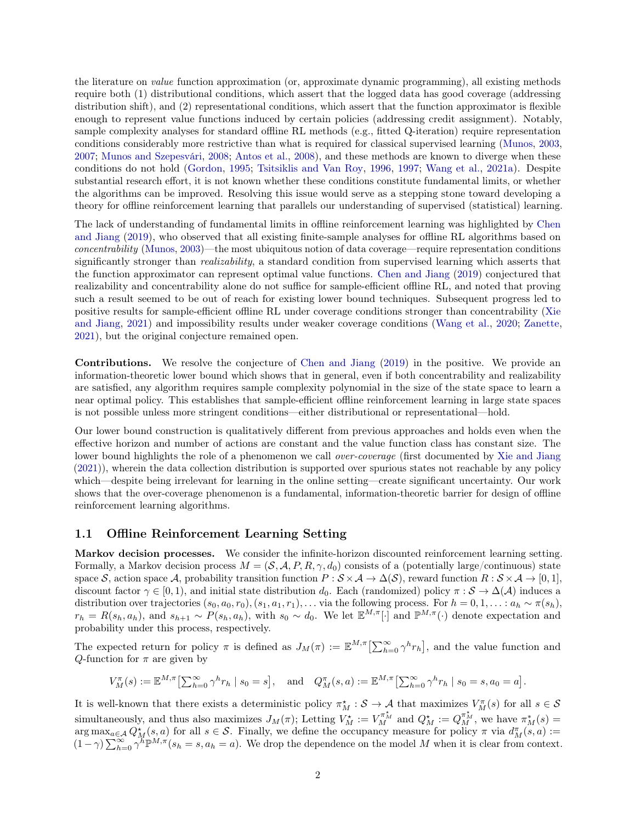the literature on value function approximation (or, approximate dynamic programming), all existing methods require both (1) distributional conditions, which assert that the logged data has good coverage (addressing distribution shift), and (2) representational conditions, which assert that the function approximator is flexible enough to represent value functions induced by certain policies (addressing credit assignment). Notably, sample complexity analyses for standard offline RL methods (e.g., fitted Q-iteration) require representation conditions considerably more restrictive than what is required for classical supervised learning [\(Munos,](#page-14-8) [2003,](#page-14-8) [2007;](#page-14-9) [Munos and Szepesvári,](#page-14-10) [2008;](#page-14-10) [Antos et al.,](#page-13-6) [2008\)](#page-13-6), and these methods are known to diverge when these conditions do not hold [\(Gordon,](#page-13-7) [1995;](#page-13-7) [Tsitsiklis and Van Roy,](#page-14-11) [1996,](#page-14-11) [1997;](#page-14-12) [Wang et al.,](#page-15-1) [2021a\)](#page-15-1). Despite substantial research effort, it is not known whether these conditions constitute fundamental limits, or whether the algorithms can be improved. Resolving this issue would serve as a stepping stone toward developing a theory for offline reinforcement learning that parallels our understanding of supervised (statistical) learning.

The lack of understanding of fundamental limits in offline reinforcement learning was highlighted by [Chen](#page-13-8) [and Jiang](#page-13-8) [\(2019\)](#page-13-8), who observed that all existing finite-sample analyses for offline RL algorithms based on concentrability [\(Munos,](#page-14-8) [2003\)](#page-14-8)—the most ubiquitous notion of data coverage—require representation conditions significantly stronger than *realizability*, a standard condition from supervised learning which asserts that the function approximator can represent optimal value functions. [Chen and Jiang](#page-13-8) [\(2019\)](#page-13-8) conjectured that realizability and concentrability alone do not suffice for sample-efficient offline RL, and noted that proving such a result seemed to be out of reach for existing lower bound techniques. Subsequent progress led to positive results for sample-efficient offline RL under coverage conditions stronger than concentrability [\(Xie](#page-15-2) [and Jiang,](#page-15-2) [2021\)](#page-15-2) and impossibility results under weaker coverage conditions [\(Wang et al.,](#page-15-3) [2020;](#page-15-3) [Zanette,](#page-15-4) [2021\)](#page-15-4), but the original conjecture remained open.

Contributions. We resolve the conjecture of [Chen and Jiang](#page-13-8) [\(2019\)](#page-13-8) in the positive. We provide an information-theoretic lower bound which shows that in general, even if both concentrability and realizability are satisfied, any algorithm requires sample complexity polynomial in the size of the state space to learn a near optimal policy. This establishes that sample-efficient offline reinforcement learning in large state spaces is not possible unless more stringent conditions—either distributional or representational—hold.

Our lower bound construction is qualitatively different from previous approaches and holds even when the effective horizon and number of actions are constant and the value function class has constant size. The lower bound highlights the role of a phenomenon we call *over-coverage* (first documented by [Xie and Jiang](#page-15-2) [\(2021\)](#page-15-2)), wherein the data collection distribution is supported over spurious states not reachable by any policy which—despite being irrelevant for learning in the online setting—create significant uncertainty. Our work shows that the over-coverage phenomenon is a fundamental, information-theoretic barrier for design of offline reinforcement learning algorithms.

#### 1.1 Offline Reinforcement Learning Setting

Markov decision processes. We consider the infinite-horizon discounted reinforcement learning setting. Formally, a Markov decision process  $M = (S, A, P, R, \gamma, d_0)$  consists of a (potentially large/continuous) state space S, action space A, probability transition function  $P : S \times A \to \Delta(S)$ , reward function  $R : S \times A \to [0, 1]$ , discount factor  $\gamma \in [0, 1)$ , and initial state distribution  $d_0$ . Each (randomized) policy  $\pi : \mathcal{S} \to \Delta(\mathcal{A})$  induces a distribution over trajectories  $(s_0, a_0, r_0), (s_1, a_1, r_1), \ldots$  via the following process. For  $h = 0, 1, \ldots : a_h \sim \pi(s_h)$ ,  $r_h = R(s_h, a_h)$ , and  $s_{h+1} \sim P(s_h, a_h)$ , with  $s_0 \sim d_0$ . We let  $\mathbb{E}^{M,\pi}[\cdot]$  and  $\mathbb{P}^{M,\pi}(\cdot)$  denote expectation and probability under this process, respectively.

The expected return for policy  $\pi$  is defined as  $J_M(\pi) := \mathbb{E}^{M,\pi} \left[\sum_{h=0}^{\infty} \gamma^h r_h\right]$ , and the value function and Q-function for  $\pi$  are given by

$$
V_M^{\pi}(s) := \mathbb{E}^{M,\pi} \left[ \sum_{h=0}^{\infty} \gamma^h r_h \mid s_0 = s \right], \text{ and } Q_M^{\pi}(s,a) := \mathbb{E}^{M,\pi} \left[ \sum_{h=0}^{\infty} \gamma^h r_h \mid s_0 = s, a_0 = a \right].
$$

It is well-known that there exists a deterministic policy  $\pi_M^* : S \to A$  that maximizes  $V_M^{\pi}(s)$  for all  $s \in S$ simultaneously, and thus also maximizes  $J_M(\pi)$ ; Letting  $V_M^* := V_M^{\pi_M^*}$  and  $Q_M^* := Q_M^{\pi_M^*}$ , we have  $\pi_M^*(s) =$  $\arg \max_{a \in \mathcal{A}} Q_M^*(s, a)$  for all  $s \in \mathcal{S}$ . Finally, we define the occupancy measure for policy  $\pi$  via  $d_M^{\pi}(s, a) :=$  $(1 - \gamma) \sum_{h=0}^{\infty} \gamma^h \mathbb{P}^{M,\pi}(s_h = s, a_h = a)$ . We drop the dependence on the model M when it is clear from context.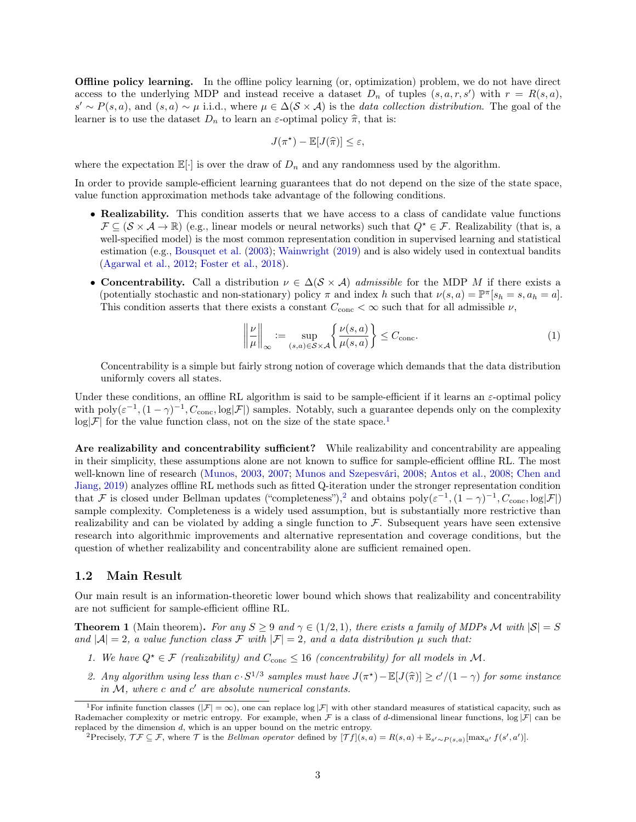Offline policy learning. In the offline policy learning (or, optimization) problem, we do not have direct access to the underlying MDP and instead receive a dataset  $D_n$  of tuples  $(s, a, r, s')$  with  $r = R(s, a)$ ,  $s' \sim P(s, a)$ , and  $(s, a) \sim \mu$  i.i.d., where  $\mu \in \Delta(\mathcal{S} \times \mathcal{A})$  is the *data collection distribution*. The goal of the learner is to use the dataset  $D_n$  to learn an  $\varepsilon$ -optimal policy  $\hat{\pi}$ , that is:

$$
J(\pi^*) - \mathbb{E}[J(\widehat{\pi})] \leq \varepsilon,
$$

where the expectation  $\mathbb{E}[\cdot]$  is over the draw of  $D_n$  and any randomness used by the algorithm.

In order to provide sample-efficient learning guarantees that do not depend on the size of the state space, value function approximation methods take advantage of the following conditions.

- Realizability. This condition asserts that we have access to a class of candidate value functions  $\mathcal{F} \subseteq (\mathcal{S} \times \mathcal{A} \to \mathbb{R})$  (e.g., linear models or neural networks) such that  $Q^* \in \mathcal{F}$ . Realizability (that is, a well-specified model) is the most common representation condition in supervised learning and statistical estimation (e.g., [Bousquet et al.](#page-13-9) [\(2003\)](#page-13-9); [Wainwright](#page-14-13) [\(2019\)](#page-14-13) and is also widely used in contextual bandits [\(Agarwal et al.,](#page-13-10) [2012;](#page-13-10) [Foster et al.,](#page-13-11) [2018\)](#page-13-11).
- Concentrability. Call a distribution  $\nu \in \Delta(\mathcal{S} \times \mathcal{A})$  admissible for the MDP M if there exists a (potentially stochastic and non-stationary) policy  $\pi$  and index h such that  $\nu(s, a) = \mathbb{P}^{\pi}[s_h = s, a_h = a].$ This condition asserts that there exists a constant  $C_{\text{conc}} < \infty$  such that for all admissible  $\nu$ ,

<span id="page-2-3"></span>
$$
\left\| \frac{\nu}{\mu} \right\|_{\infty} := \sup_{(s,a) \in \mathcal{S} \times \mathcal{A}} \left\{ \frac{\nu(s,a)}{\mu(s,a)} \right\} \le C_{\text{conc}}.\tag{1}
$$

Concentrability is a simple but fairly strong notion of coverage which demands that the data distribution uniformly covers all states.

Under these conditions, an offline RL algorithm is said to be sample-efficient if it learns an  $\varepsilon$ -optimal policy with  $poly(\varepsilon^{-1},(1-\gamma)^{-1},C_{\text{conc}},log|\mathcal{F}|)$  samples. Notably, such a guarantee depends only on the complexity  $log|\mathcal{F}|$  for the value function class, not on the size of the state space.<sup>[1](#page-2-0)</sup>

Are realizability and concentrability sufficient? While realizability and concentrability are appealing in their simplicity, these assumptions alone are not known to suffice for sample-efficient offline RL. The most well-known line of research [\(Munos,](#page-14-8) [2003,](#page-14-8) [2007;](#page-14-9) [Munos and Szepesvári,](#page-14-10) [2008;](#page-14-10) [Antos et al.,](#page-13-6) [2008;](#page-13-6) [Chen and](#page-13-8) [Jiang,](#page-13-8) [2019\)](#page-13-8) analyzes offline RL methods such as fitted Q-iteration under the stronger representation condition that F is closed under Bellman updates ("completeness"),<sup>[2](#page-2-1)</sup> and obtains  $poly(\varepsilon^{-1}, (1-\gamma)^{-1}, C_{\text{conc}}, \log|\mathcal{F}|)$ sample complexity. Completeness is a widely used assumption, but is substantially more restrictive than realizability and can be violated by adding a single function to  $\mathcal F$ . Subsequent years have seen extensive research into algorithmic improvements and alternative representation and coverage conditions, but the question of whether realizability and concentrability alone are sufficient remained open.

### 1.2 Main Result

Our main result is an information-theoretic lower bound which shows that realizability and concentrability are not sufficient for sample-efficient offline RL.

<span id="page-2-2"></span>**Theorem 1** (Main theorem). For any  $S \ge 9$  and  $\gamma \in (1/2, 1)$ , there exists a family of MDPs M with  $|S| = S$ and  $|\mathcal{A}| = 2$ , a value function class F with  $|\mathcal{F}| = 2$ , and a data distribution  $\mu$  such that:

- 1. We have  $Q^* \in \mathcal{F}$  (realizability) and  $C_{\text{conc}} \leq 16$  (concentrability) for all models in M.
- 2. Any algorithm using less than  $c \cdot S^{1/3}$  samples must have  $J(\pi^*) \mathbb{E}[J(\hat{\pi})] \ge c'/(1-\gamma)$  for some instance in  $M$ , where  $c$  and  $c'$  are absolute numerical constants.

<span id="page-2-0"></span><sup>&</sup>lt;sup>1</sup>For infinite function classes ( $|\mathcal{F}| = \infty$ ), one can replace  $\log |\mathcal{F}|$  with other standard measures of statistical capacity, such as Rademacher complexity or metric entropy. For example, when  $\mathcal F$  is a class of d-dimensional linear functions,  $\log |\mathcal F|$  can be replaced by the dimension d, which is an upper bound on the metric entropy.

<span id="page-2-1"></span><sup>&</sup>lt;sup>2</sup>Precisely,  $\mathcal{T} \mathcal{F} \subseteq \mathcal{F}$ , where  $\mathcal{T}$  is the *Bellman operator* defined by  $[\mathcal{T} f](s, a) = R(s, a) + \mathbb{E}_{s' \sim P(s, a)}[\max_{a'} f(s', a')]$ .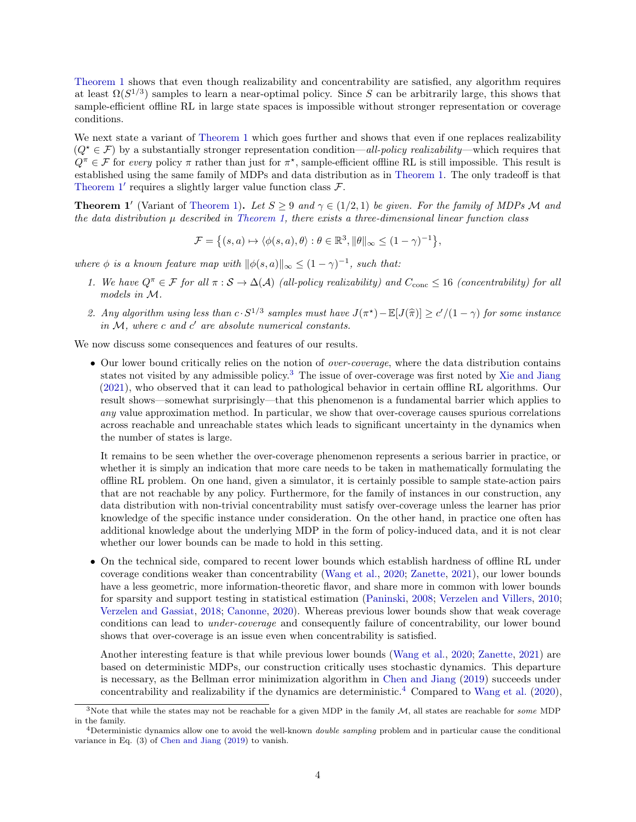[Theorem 1](#page-2-2) shows that even though realizability and concentrability are satisfied, any algorithm requires at least  $\Omega(S^{1/3})$  samples to learn a near-optimal policy. Since S can be arbitrarily large, this shows that sample-efficient offline RL in large state spaces is impossible without stronger representation or coverage conditions.

We next state a variant of [Theorem 1](#page-2-2) which goes further and shows that even if one replaces realizability  $(Q^{\star} \in \mathcal{F})$  by a substantially stronger representation condition—all-policy realizability—which requires that  $Q^{\pi} \in \mathcal{F}$  for every policy  $\pi$  rather than just for  $\pi^*$ , sample-efficient offline RL is still impossible. This result is established using the same family of MDPs and data distribution as in [Theorem 1.](#page-2-2) The only tradeoff is that Theorem  $1'$  requires a slightly larger value function class  $\mathcal{F}$ .

<span id="page-3-0"></span>**Theorem 1'** (Variant of [Theorem 1\)](#page-2-2). Let  $S \ge 9$  and  $\gamma \in (1/2, 1)$  be given. For the family of MDPs M and the data distribution  $\mu$  described in [Theorem 1,](#page-2-2) there exists a three-dimensional linear function class

$$
\mathcal{F} = \left\{ (s, a) \mapsto \langle \phi(s, a), \theta \rangle : \theta \in \mathbb{R}^3, \|\theta\|_{\infty} \le (1 - \gamma)^{-1} \right\},\
$$

where  $\phi$  is a known feature map with  $\|\phi(s, a)\|_{\infty} \leq (1 - \gamma)^{-1}$ , such that:

- 1. We have  $Q^{\pi} \in \mathcal{F}$  for all  $\pi : \mathcal{S} \to \Delta(\mathcal{A})$  (all-policy realizability) and  $C_{\text{conc}} \leq 16$  (concentrability) for all models in M.
- 2. Any algorithm using less than  $c \cdot S^{1/3}$  samples must have  $J(\pi^*) \mathbb{E}[J(\hat{\pi})] \ge c'/(1-\gamma)$  for some instance in  $M$ , where  $c$  and  $c'$  are absolute numerical constants.

We now discuss some consequences and features of our results.

• Our lower bound critically relies on the notion of *over-coverage*, where the data distribution contains states not visited by any admissible policy.[3](#page-3-1) The issue of over-coverage was first noted by [Xie and Jiang](#page-15-2) [\(2021\)](#page-15-2), who observed that it can lead to pathological behavior in certain offline RL algorithms. Our result shows—somewhat surprisingly—that this phenomenon is a fundamental barrier which applies to any value approximation method. In particular, we show that over-coverage causes spurious correlations across reachable and unreachable states which leads to significant uncertainty in the dynamics when the number of states is large.

It remains to be seen whether the over-coverage phenomenon represents a serious barrier in practice, or whether it is simply an indication that more care needs to be taken in mathematically formulating the offline RL problem. On one hand, given a simulator, it is certainly possible to sample state-action pairs that are not reachable by any policy. Furthermore, for the family of instances in our construction, any data distribution with non-trivial concentrability must satisfy over-coverage unless the learner has prior knowledge of the specific instance under consideration. On the other hand, in practice one often has additional knowledge about the underlying MDP in the form of policy-induced data, and it is not clear whether our lower bounds can be made to hold in this setting.

• On the technical side, compared to recent lower bounds which establish hardness of offline RL under coverage conditions weaker than concentrability [\(Wang et al.,](#page-15-3) [2020;](#page-15-3) [Zanette,](#page-15-4) [2021\)](#page-15-4), our lower bounds have a less geometric, more information-theoretic flavor, and share more in common with lower bounds for sparsity and support testing in statistical estimation [\(Paninski,](#page-14-14) [2008;](#page-14-14) [Verzelen and Villers,](#page-14-15) [2010;](#page-14-15) [Verzelen and Gassiat,](#page-14-16) [2018;](#page-14-16) [Canonne,](#page-13-12) [2020\)](#page-13-12). Whereas previous lower bounds show that weak coverage conditions can lead to under-coverage and consequently failure of concentrability, our lower bound shows that over-coverage is an issue even when concentrability is satisfied.

Another interesting feature is that while previous lower bounds [\(Wang et al.,](#page-15-3) [2020;](#page-15-3) [Zanette,](#page-15-4) [2021\)](#page-15-4) are based on deterministic MDPs, our construction critically uses stochastic dynamics. This departure is necessary, as the Bellman error minimization algorithm in [Chen and Jiang](#page-13-8) [\(2019\)](#page-13-8) succeeds under concentrability and realizability if the dynamics are deterministic.<sup>[4](#page-3-2)</sup> Compared to [Wang et al.](#page-15-3) [\(2020\)](#page-15-3).

<span id="page-3-1"></span><sup>&</sup>lt;sup>3</sup>Note that while the states may not be reachable for a given MDP in the family  $M$ , all states are reachable for some MDP in the family.

<span id="page-3-2"></span><sup>&</sup>lt;sup>4</sup>Deterministic dynamics allow one to avoid the well-known *double sampling* problem and in particular cause the conditional variance in Eq. (3) of [Chen and Jiang](#page-13-8) [\(2019\)](#page-13-8) to vanish.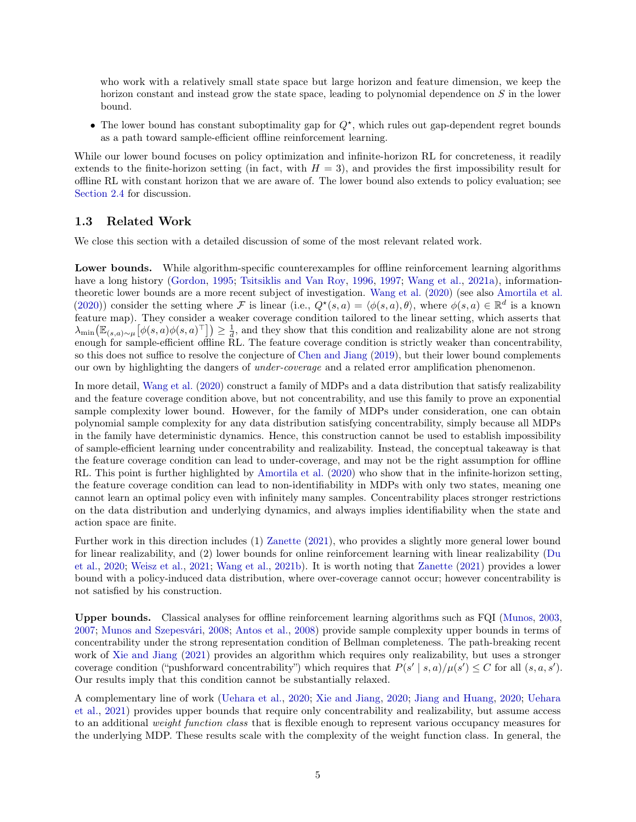who work with a relatively small state space but large horizon and feature dimension, we keep the horizon constant and instead grow the state space, leading to polynomial dependence on S in the lower bound.

• The lower bound has constant suboptimality gap for  $Q^*$ , which rules out gap-dependent regret bounds as a path toward sample-efficient offline reinforcement learning.

While our lower bound focuses on policy optimization and infinite-horizon RL for concreteness, it readily extends to the finite-horizon setting (in fact, with  $H = 3$ ), and provides the first impossibility result for offline RL with constant horizon that we are aware of. The lower bound also extends to policy evaluation; see [Section 2.4](#page-11-0) for discussion.

### 1.3 Related Work

We close this section with a detailed discussion of some of the most relevant related work.

Lower bounds. While algorithm-specific counterexamples for offline reinforcement learning algorithms have a long history [\(Gordon,](#page-13-7) [1995;](#page-13-7) [Tsitsiklis and Van Roy,](#page-14-11) [1996,](#page-14-11) [1997;](#page-14-12) [Wang et al.,](#page-15-1) [2021a\)](#page-15-1), informationtheoretic lower bounds are a more recent subject of investigation. [Wang et al.](#page-15-3) [\(2020\)](#page-15-3) (see also [Amortila et al.](#page-13-13) [\(2020\)](#page-13-13)) consider the setting where F is linear (i.e.,  $Q^*(s, a) = \langle \phi(s, a), \theta \rangle$ , where  $\phi(s, a) \in \mathbb{R}^d$  is a known feature map). They consider a weaker coverage condition tailored to the linear setting, which asserts that  $\lambda_{\min}\big(\mathbb{E}_{(s,a)\sim\mu}\big[\phi(s,a)\phi(s,a)^\top\big]\big) \geq \frac{1}{d}$ , and they show that this condition and realizability alone are not strong enough for sample-efficient offline RL. The feature coverage condition is strictly weaker than concentrability, so this does not suffice to resolve the conjecture of [Chen and Jiang](#page-13-8) [\(2019\)](#page-13-8), but their lower bound complements our own by highlighting the dangers of *under-coverage* and a related error amplification phenomenon.

In more detail, [Wang et al.](#page-15-3) [\(2020\)](#page-15-3) construct a family of MDPs and a data distribution that satisfy realizability and the feature coverage condition above, but not concentrability, and use this family to prove an exponential sample complexity lower bound. However, for the family of MDPs under consideration, one can obtain polynomial sample complexity for any data distribution satisfying concentrability, simply because all MDPs in the family have deterministic dynamics. Hence, this construction cannot be used to establish impossibility of sample-efficient learning under concentrability and realizability. Instead, the conceptual takeaway is that the feature coverage condition can lead to under-coverage, and may not be the right assumption for offline RL. This point is further highlighted by [Amortila et al.](#page-13-13) [\(2020\)](#page-13-13) who show that in the infinite-horizon setting, the feature coverage condition can lead to non-identifiability in MDPs with only two states, meaning one cannot learn an optimal policy even with infinitely many samples. Concentrability places stronger restrictions on the data distribution and underlying dynamics, and always implies identifiability when the state and action space are finite.

Further work in this direction includes (1) [Zanette](#page-15-4) [\(2021\)](#page-15-4), who provides a slightly more general lower bound for linear realizability, and (2) lower bounds for online reinforcement learning with linear realizability [\(Du](#page-13-14) [et al.,](#page-13-14) [2020;](#page-13-14) [Weisz et al.,](#page-15-5) [2021;](#page-15-5) [Wang et al.,](#page-15-6) [2021b\)](#page-15-6). It is worth noting that [Zanette](#page-15-4) [\(2021\)](#page-15-4) provides a lower bound with a policy-induced data distribution, where over-coverage cannot occur; however concentrability is not satisfied by his construction.

Upper bounds. Classical analyses for offline reinforcement learning algorithms such as FQI [\(Munos,](#page-14-8) [2003,](#page-14-8) [2007;](#page-14-9) [Munos and Szepesvári,](#page-14-10) [2008;](#page-14-10) [Antos et al.,](#page-13-6) [2008\)](#page-13-6) provide sample complexity upper bounds in terms of concentrability under the strong representation condition of Bellman completeness. The path-breaking recent work of [Xie and Jiang](#page-15-2) [\(2021\)](#page-15-2) provides an algorithm which requires only realizability, but uses a stronger coverage condition ("pushforward concentrability") which requires that  $P(s' | s, a) / \mu(s') \leq C$  for all  $(s, a, s')$ . Our results imply that this condition cannot be substantially relaxed.

A complementary line of work [\(Uehara et al.,](#page-14-17) [2020;](#page-14-17) [Xie and Jiang,](#page-15-7) [2020;](#page-15-7) [Jiang and Huang,](#page-13-15) [2020;](#page-13-15) [Uehara](#page-14-18) [et al.,](#page-14-18) [2021\)](#page-14-18) provides upper bounds that require only concentrability and realizability, but assume access to an additional weight function class that is flexible enough to represent various occupancy measures for the underlying MDP. These results scale with the complexity of the weight function class. In general, the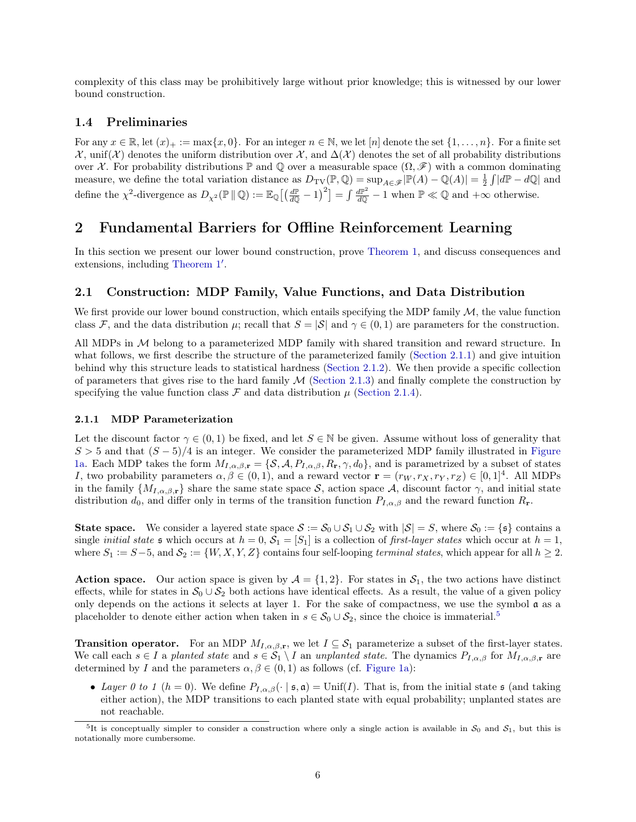complexity of this class may be prohibitively large without prior knowledge; this is witnessed by our lower bound construction.

### 1.4 Preliminaries

For any  $x \in \mathbb{R}$ , let  $(x)_+ := \max\{x, 0\}$ . For an integer  $n \in \mathbb{N}$ , we let  $[n]$  denote the set  $\{1, \ldots, n\}$ . For a finite set  $\mathcal{X}$ , unif(X) denotes the uniform distribution over  $\mathcal{X}$ , and  $\Delta(\mathcal{X})$  denotes the set of all probability distributions over X. For probability distributions  $\mathbb P$  and  $\mathbb Q$  over a measurable space  $(\Omega, \mathscr F)$  with a common dominating measure, we define the total variation distance as  $D_{\text{TV}}(\mathbb{P}, \mathbb{Q}) = \sup_{A \in \mathscr{F}} |\mathbb{P}(A) - \mathbb{Q}(A)| = \frac{1}{2} \int |d\mathbb{P} - d\mathbb{Q}|$  and define the  $\chi^2$ -divergence as  $D_{\chi^2}(\mathbb{P} \mid \mathbb{Q}) := \mathbb{E}_{\mathbb{Q}} \left[ \left( \frac{d\mathbb{P}}{d\mathbb{Q}} - 1 \right)^2 \right] = \int \frac{d\mathbb{P}^2}{d\mathbb{Q}} - 1$  when  $\mathbb{P} \ll \mathbb{Q}$  and  $+\infty$  otherwise.

# 2 Fundamental Barriers for Offline Reinforcement Learning

In this section we present our lower bound construction, prove [Theorem 1,](#page-2-2) and discuss consequences and extensions, including [Theorem 1](#page-3-0)′ .

### <span id="page-5-2"></span>2.1 Construction: MDP Family, Value Functions, and Data Distribution

We first provide our lower bound construction, which entails specifying the MDP family  $M$ , the value function class F, and the data distribution  $\mu$ ; recall that  $S = |\mathcal{S}|$  and  $\gamma \in (0, 1)$  are parameters for the construction.

All MDPs in  $M$  belong to a parameterized MDP family with shared transition and reward structure. In what follows, we first describe the structure of the parameterized family [\(Section 2.1.1\)](#page-5-0) and give intuition behind why this structure leads to statistical hardness [\(Section 2.1.2\)](#page-6-0). We then provide a specific collection of parameters that gives rise to the hard family  $\mathcal M$  [\(Section 2.1.3\)](#page-7-0) and finally complete the construction by specifying the value function class  $\mathcal F$  and data distribution  $\mu$  [\(Section 2.1.4\)](#page-8-0).

#### <span id="page-5-0"></span>2.1.1 MDP Parameterization

Let the discount factor  $\gamma \in (0,1)$  be fixed, and let  $S \in \mathbb{N}$  be given. Assume without loss of generality that  $S > 5$  and that  $(S - 5)/4$  is an integer. We consider the parameterized MDP family illustrated in [Figure](#page-7-1) [1a.](#page-7-1) Each MDP takes the form  $M_{I,\alpha,\beta,\mathbf{r}} = \{S, A, P_{I,\alpha,\beta}, R_{\mathbf{r}}, \gamma, d_0\}$ , and is parametrized by a subset of states I, two probability parameters  $\alpha, \beta \in (0, 1)$ , and a reward vector  $\mathbf{r} = (r_W, r_X, r_Y, r_Z) \in [0, 1]^4$ . All MDPs in the family  $\{M_{I,\alpha,\beta,r}\}\$  share the same state space S, action space A, discount factor  $\gamma$ , and initial state distribution  $d_0$ , and differ only in terms of the transition function  $P_{I,\alpha,\beta}$  and the reward function  $R_r$ .

**State space.** We consider a layered state space  $S := S_0 \cup S_1 \cup S_2$  with  $|S| = S$ , where  $S_0 := \{ \mathfrak{s} \}$  contains a single *initial state*  $\mathfrak{s}$  which occurs at  $h = 0$ ,  $\mathcal{S}_1 = [S_1]$  is a collection of *first-layer states* which occur at  $h = 1$ , where  $S_1 := S-5$ , and  $S_2 := \{W, X, Y, Z\}$  contains four self-looping terminal states, which appear for all  $h \geq 2$ .

**Action space.** Our action space is given by  $\mathcal{A} = \{1, 2\}$ . For states in  $\mathcal{S}_1$ , the two actions have distinct effects, while for states in  $S_0 \cup S_2$  both actions have identical effects. As a result, the value of a given policy only depends on the actions it selects at layer 1. For the sake of compactness, we use the symbol  $\mathfrak{a}$  as a placeholder to denote either action when taken in  $s \in \mathcal{S}_0 \cup \mathcal{S}_2$ , since the choice is immaterial.<sup>[5](#page-5-1)</sup>

**Transition operator.** For an MDP  $M_{I,\alpha,\beta,\mathbf{r}}$ , we let  $I \subseteq S_1$  parameterize a subset of the first-layer states. We call each  $s \in I$  a planted state and  $s \in S_1 \setminus I$  an unplanted state. The dynamics  $P_{I,\alpha,\beta}$  for  $M_{I,\alpha,\beta,r}$  are determined by I and the parameters  $\alpha, \beta \in (0, 1)$  as follows (cf. [Figure 1a\)](#page-7-1):

• Layer 0 to 1 (h = 0). We define  $P_{I,\alpha,\beta}(\cdot \mid \mathfrak{s}, \mathfrak{a}) = \text{Unif}(I)$ . That is, from the initial state  $\mathfrak{s}$  (and taking either action), the MDP transitions to each planted state with equal probability; unplanted states are not reachable.

<span id="page-5-1"></span><sup>&</sup>lt;sup>5</sup>It is conceptually simpler to consider a construction where only a single action is available in  $S_0$  and  $S_1$ , but this is notationally more cumbersome.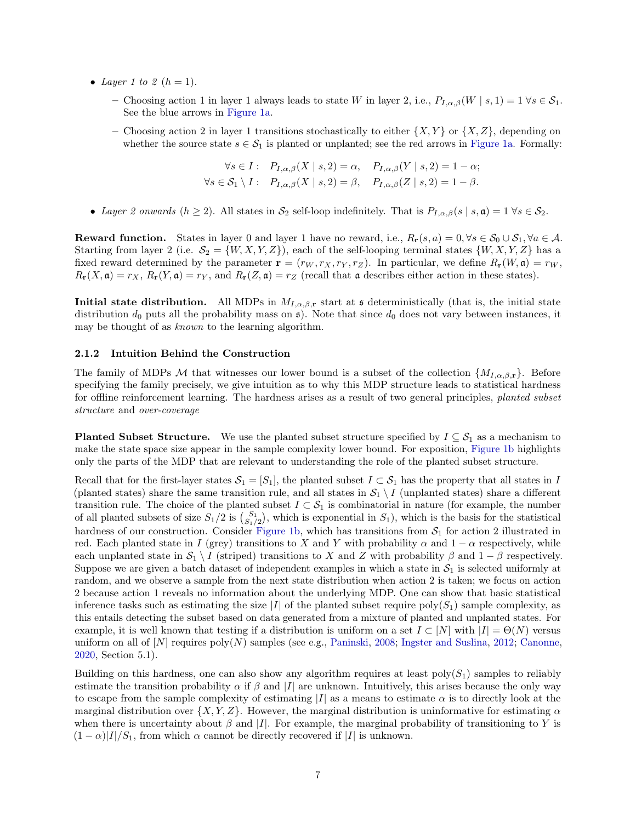- Layer 1 to 2  $(h = 1)$ .
	- Choosing action 1 in layer 1 always leads to state W in layer 2, i.e.,  $P_{I,\alpha,\beta}(W \mid s, 1) = 1 \,\forall s \in \mathcal{S}_1$ . See the blue arrows in [Figure 1a.](#page-7-1)
	- Choosing action 2 in layer 1 transitions stochastically to either  $\{X, Y\}$  or  $\{X, Z\}$ , depending on whether the source state  $s \in \mathcal{S}_1$  is planted or unplanted; see the red arrows in [Figure 1a.](#page-7-1) Formally:

$$
\forall s \in I: \quad P_{I,\alpha,\beta}(X \mid s,2) = \alpha, \quad P_{I,\alpha,\beta}(Y \mid s,2) = 1 - \alpha;
$$
  

$$
\forall s \in \mathcal{S}_1 \setminus I: \quad P_{I,\alpha,\beta}(X \mid s,2) = \beta, \quad P_{I,\alpha,\beta}(Z \mid s,2) = 1 - \beta.
$$

• Layer 2 onwards  $(h \geq 2)$ . All states in  $S_2$  self-loop indefinitely. That is  $P_{I,\alpha,\beta}(s \mid s,\mathfrak{a}) = 1 \ \forall s \in S_2$ .

**Reward function.** States in layer 0 and layer 1 have no reward, i.e.,  $R_r(s, a) = 0, \forall s \in \mathcal{S}_0 \cup \mathcal{S}_1, \forall a \in \mathcal{A}$ . Starting from layer 2 (i.e.  $S_2 = \{W, X, Y, Z\}$ ), each of the self-looping terminal states  $\{W, X, Y, Z\}$  has a fixed reward determined by the parameter  $\mathbf{r} = (r_W, r_X, r_Y, r_Z)$ . In particular, we define  $R_{\mathbf{r}}(W, \mathbf{a}) = r_W$ ,  $R_{\mathbf{r}}(X,\mathfrak{a}) = r_X, R_{\mathbf{r}}(Y,\mathfrak{a}) = r_Y$ , and  $R_{\mathbf{r}}(Z,\mathfrak{a}) = r_Z$  (recall that  $\mathfrak{a}$  describes either action in these states).

**Initial state distribution.** All MDPs in  $M_{I,\alpha,\beta,r}$  start at s deterministically (that is, the initial state distribution  $d_0$  puts all the probability mass on  $\mathfrak{s}$ ). Note that since  $d_0$  does not vary between instances, it may be thought of as known to the learning algorithm.

#### <span id="page-6-0"></span>2.1.2 Intuition Behind the Construction

The family of MDPs M that witnesses our lower bound is a subset of the collection  $\{M_{I,\alpha,\beta,r}\}.$  Before specifying the family precisely, we give intuition as to why this MDP structure leads to statistical hardness for offline reinforcement learning. The hardness arises as a result of two general principles, planted subset structure and over-coverage

<span id="page-6-1"></span>**Planted Subset Structure.** We use the planted subset structure specified by  $I \subseteq S_1$  as a mechanism to make the state space size appear in the sample complexity lower bound. For exposition, [Figure 1b](#page-7-1) highlights only the parts of the MDP that are relevant to understanding the role of the planted subset structure.

Recall that for the first-layer states  $S_1 = [S_1]$ , the planted subset  $I \subset S_1$  has the property that all states in I (planted states) share the same transition rule, and all states in  $S_1 \setminus I$  (unplanted states) share a different transition rule. The choice of the planted subset  $I \subset S_1$  is combinatorial in nature (for example, the number of all planted subsets of size  $S_1/2$  is  $\binom{S_1}{S_1/2}$ , which is exponential in  $S_1$ ), which is the basis for the statistical hardness of our construction. Consider [Figure 1b,](#page-7-1) which has transitions from  $S_1$  for action 2 illustrated in red. Each planted state in I (grey) transitions to X and Y with probability  $\alpha$  and  $1 - \alpha$  respectively, while each unplanted state in  $S_1 \setminus I$  (striped) transitions to X and Z with probability  $\beta$  and  $1 - \beta$  respectively. Suppose we are given a batch dataset of independent examples in which a state in  $S_1$  is selected uniformly at random, and we observe a sample from the next state distribution when action 2 is taken; we focus on action 2 because action 1 reveals no information about the underlying MDP. One can show that basic statistical inference tasks such as estimating the size |I| of the planted subset require poly( $S_1$ ) sample complexity, as this entails detecting the subset based on data generated from a mixture of planted and unplanted states. For example, it is well known that testing if a distribution is uniform on a set  $I \subset [N]$  with  $|I| = \Theta(N)$  versus uniform on all of  $[N]$  requires  $poly(N)$  samples (see e.g., [Paninski,](#page-14-14) [2008;](#page-14-14) [Ingster and Suslina,](#page-13-16) [2012;](#page-13-16) [Canonne,](#page-13-12) [2020,](#page-13-12) Section 5.1).

Building on this hardness, one can also show any algorithm requires at least  $poly(S_1)$  samples to reliably estimate the transition probability  $\alpha$  if  $\beta$  and |I| are unknown. Intuitively, this arises because the only way to escape from the sample complexity of estimating  $|I|$  as a means to estimate  $\alpha$  is to directly look at the marginal distribution over  $\{X, Y, Z\}$ . However, the marginal distribution is uninformative for estimating  $\alpha$ when there is uncertainty about  $\beta$  and |I|. For example, the marginal probability of transitioning to Y is  $(1 - \alpha)|I|/S_1$ , from which  $\alpha$  cannot be directly recovered if |I| is unknown.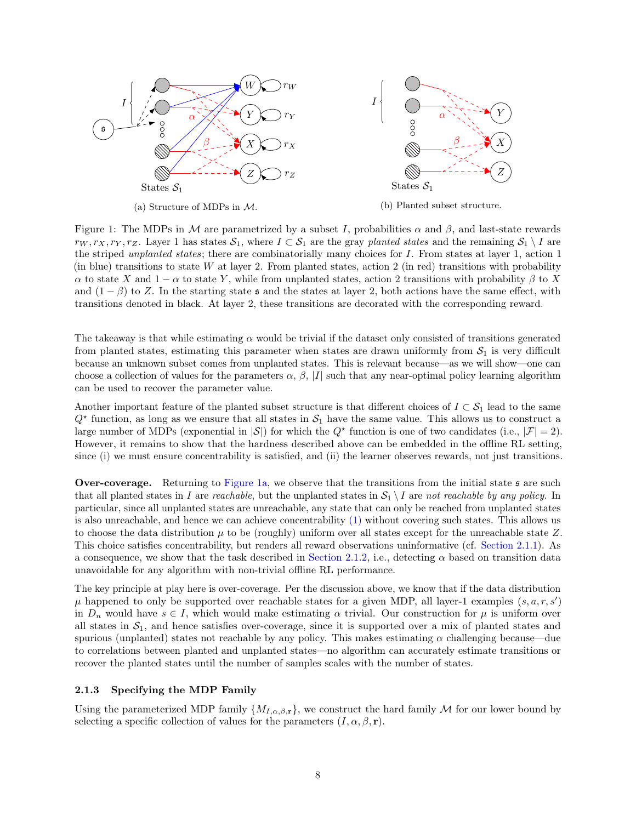<span id="page-7-1"></span>

Figure 1: The MDPs in M are parametrized by a subset I, probabilities  $\alpha$  and  $\beta$ , and last-state rewards  $r_W, r_X, r_Y, r_Z$ . Layer 1 has states  $S_1$ , where  $I \subset S_1$  are the gray planted states and the remaining  $S_1 \setminus I$  are the striped unplanted states; there are combinatorially many choices for I. From states at layer 1, action 1 (in blue) transitions to state W at layer 2. From planted states, action 2 (in red) transitions with probability  $\alpha$  to state X and 1 –  $\alpha$  to state Y, while from unplanted states, action 2 transitions with probability  $\beta$  to X and  $(1 - \beta)$  to Z. In the starting state s and the states at layer 2, both actions have the same effect, with transitions denoted in black. At layer 2, these transitions are decorated with the corresponding reward.

The takeaway is that while estimating  $\alpha$  would be trivial if the dataset only consisted of transitions generated from planted states, estimating this parameter when states are drawn uniformly from  $S_1$  is very difficult because an unknown subset comes from unplanted states. This is relevant because—as we will show—one can choose a collection of values for the parameters  $\alpha$ ,  $\beta$ , |I| such that any near-optimal policy learning algorithm can be used to recover the parameter value.

Another important feature of the planted subset structure is that different choices of  $I \subset S_1$  lead to the same  $Q^*$  function, as long as we ensure that all states in  $S_1$  have the same value. This allows us to construct a large number of MDPs (exponential in  $|\mathcal{S}|$ ) for which the  $Q^*$  function is one of two candidates (i.e.,  $|\mathcal{F}| = 2$ ). However, it remains to show that the hardness described above can be embedded in the offline RL setting, since (i) we must ensure concentrability is satisfied, and (ii) the learner observes rewards, not just transitions.

Over-coverage. Returning to [Figure 1a,](#page-7-1) we observe that the transitions from the initial state s are such that all planted states in I are reachable, but the unplanted states in  $S_1 \setminus I$  are not reachable by any policy. In particular, since all unplanted states are unreachable, any state that can only be reached from unplanted states is also unreachable, and hence we can achieve concentrability [\(1\)](#page-2-3) without covering such states. This allows us to choose the data distribution  $\mu$  to be (roughly) uniform over all states except for the unreachable state Z. This choice satisfies concentrability, but renders all reward observations uninformative (cf. [Section 2.1.1\)](#page-5-0). As a consequence, we show that the task described in [Section 2.1.2,](#page-6-1) i.e., detecting  $\alpha$  based on transition data unavoidable for any algorithm with non-trivial offline RL performance.

The key principle at play here is over-coverage. Per the discussion above, we know that if the data distribution  $\mu$  happened to only be supported over reachable states for a given MDP, all layer-1 examples  $(s, a, r, s')$ in  $D_n$  would have  $s \in I$ , which would make estimating  $\alpha$  trivial. Our construction for  $\mu$  is uniform over all states in  $S_1$ , and hence satisfies over-coverage, since it is supported over a mix of planted states and spurious (unplanted) states not reachable by any policy. This makes estimating  $\alpha$  challenging because—due to correlations between planted and unplanted states—no algorithm can accurately estimate transitions or recover the planted states until the number of samples scales with the number of states.

#### <span id="page-7-0"></span>2.1.3 Specifying the MDP Family

Using the parameterized MDP family  $\{M_{I,\alpha,\beta,\mathbf{r}}\}$ , we construct the hard family M for our lower bound by selecting a specific collection of values for the parameters  $(I, \alpha, \beta, r)$ .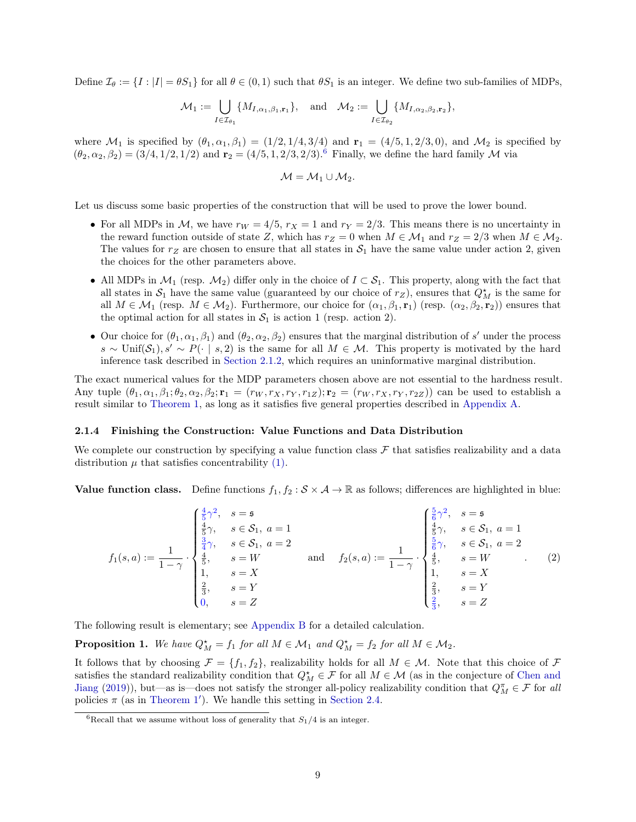Define  $\mathcal{I}_{\theta} := \{I : |I| = \theta S_1\}$  for all  $\theta \in (0,1)$  such that  $\theta S_1$  is an integer. We define two sub-families of MDPs,

$$
\mathcal{M}_1 := \bigcup_{I \in \mathcal{I}_{\theta_1}} \{ M_{I,\alpha_1,\beta_1,\mathbf{r}_1} \}, \quad \text{and} \quad \mathcal{M}_2 := \bigcup_{I \in \mathcal{I}_{\theta_2}} \{ M_{I,\alpha_2,\beta_2,\mathbf{r}_2} \},
$$

where  $\mathcal{M}_1$  is specified by  $(\theta_1, \alpha_1, \beta_1) = (1/2, 1/4, 3/4)$  and  $\mathbf{r}_1 = (4/5, 1, 2/3, 0)$ , and  $\mathcal{M}_2$  is specified by  $(\theta_2, \alpha_2, \beta_2) = (3/4, 1/2, 1/2)$  and  $\mathbf{r}_2 = (4/5, 1, 2/3, 2/3)$ .<sup>[6](#page-8-1)</sup> Finally, we define the hard family M via

$$
\mathcal{M}=\mathcal{M}_1\cup \mathcal{M}_2.
$$

Let us discuss some basic properties of the construction that will be used to prove the lower bound.

- For all MDPs in M, we have  $r_W = 4/5$ ,  $r_X = 1$  and  $r_Y = 2/3$ . This means there is no uncertainty in the reward function outside of state Z, which has  $r_Z = 0$  when  $M \in \mathcal{M}_1$  and  $r_Z = 2/3$  when  $M \in \mathcal{M}_2$ . The values for  $r_Z$  are chosen to ensure that all states in  $S_1$  have the same value under action 2, given the choices for the other parameters above.
- All MDPs in  $\mathcal{M}_1$  (resp.  $\mathcal{M}_2$ ) differ only in the choice of  $I \subset \mathcal{S}_1$ . This property, along with the fact that all states in  $S_1$  have the same value (guaranteed by our choice of  $r_Z$ ), ensures that  $Q_M^{\star}$  is the same for all  $M \in \mathcal{M}_1$  (resp.  $M \in \mathcal{M}_2$ ). Furthermore, our choice for  $(\alpha_1, \beta_1, \mathbf{r}_1)$  (resp.  $(\alpha_2, \beta_2, \mathbf{r}_2)$ ) ensures that the optimal action for all states in  $S_1$  is action 1 (resp. action 2).
- Our choice for  $(\theta_1, \alpha_1, \beta_1)$  and  $(\theta_2, \alpha_2, \beta_2)$  ensures that the marginal distribution of s' under the process s ∼ Unif(S<sub>1</sub>), s' ∼ P(⋅ | s, 2) is the same for all  $M \in \mathcal{M}$ . This property is motivated by the hard inference task described in [Section 2.1.2,](#page-6-1) which requires an uninformative marginal distribution.

The exact numerical values for the MDP parameters chosen above are not essential to the hardness result. Any tuple  $(\theta_1, \alpha_1, \beta_1; \theta_2, \alpha_2, \beta_2; \mathbf{r}_1 = (r_W, r_X, r_Y, r_{1Z}); \mathbf{r}_2 = (r_W, r_X, r_Y, r_{2Z})$  can be used to establish a result similar to [Theorem 1,](#page-2-2) as long as it satisfies five general properties described in [Appendix A.](#page-16-0)

#### <span id="page-8-0"></span>2.1.4 Finishing the Construction: Value Functions and Data Distribution

We complete our construction by specifying a value function class  $\mathcal F$  that satisfies realizability and a data distribution  $\mu$  that satisfies concentrability [\(1\).](#page-2-3)

**Value function class.** Define functions  $f_1, f_2 : \mathcal{S} \times \mathcal{A} \to \mathbb{R}$  as follows; differences are highlighted in blue:

<span id="page-8-2"></span>
$$
f_1(s, a) := \frac{1}{1 - \gamma} \cdot \begin{cases} \frac{4}{5}\gamma^2, & s = \mathfrak{s} \\ \frac{4}{5}\gamma, & s \in \mathcal{S}_1, a = 1 \\ \frac{3}{4}\gamma, & s \in \mathcal{S}_1, a = 2 \\ \frac{4}{5}, & s = W \\ 1, & s = X \\ \frac{2}{3}, & s = Y \\ 0, & s = Z \end{cases} \text{ and } f_2(s, a) := \frac{1}{1 - \gamma} \cdot \begin{cases} \frac{5}{6}\gamma^2, & s = \mathfrak{s} \\ \frac{4}{5}\gamma, & s \in \mathcal{S}_1, a = 1 \\ \frac{5}{6}\gamma, & s \in \mathcal{S}_1, a = 2 \\ \frac{4}{5}, & s = W \\ 1, & s = X \\ \frac{2}{3}, & s = Y \\ \frac{2}{3}, & s = Z \end{cases} (2)
$$

The following result is elementary; see [Appendix B](#page-17-0) for a detailed calculation.

<span id="page-8-3"></span>**Proposition 1.** We have  $Q_M^* = f_1$  for all  $M \in \mathcal{M}_1$  and  $Q_M^* = f_2$  for all  $M \in \mathcal{M}_2$ .

It follows that by choosing  $\mathcal{F} = \{f_1, f_2\}$ , realizability holds for all  $M \in \mathcal{M}$ . Note that this choice of  $\mathcal F$ satisfies the standard realizability condition that  $Q_M^{\star} \in \mathcal{F}$  for all  $M \in \mathcal{M}$  (as in the conjecture of [Chen and](#page-13-8) [Jiang](#page-13-8) [\(2019\)](#page-13-8)), but—as is—does not satisfy the stronger all-policy realizability condition that  $Q_M^{\pi} \in \mathcal{F}$  for all policies  $\pi$  (as in [Theorem 1](#page-3-0)'). We handle this setting in [Section 2.4.](#page-11-0)

<span id="page-8-1"></span><sup>&</sup>lt;sup>6</sup>Recall that we assume without loss of generality that  $S_1/4$  is an integer.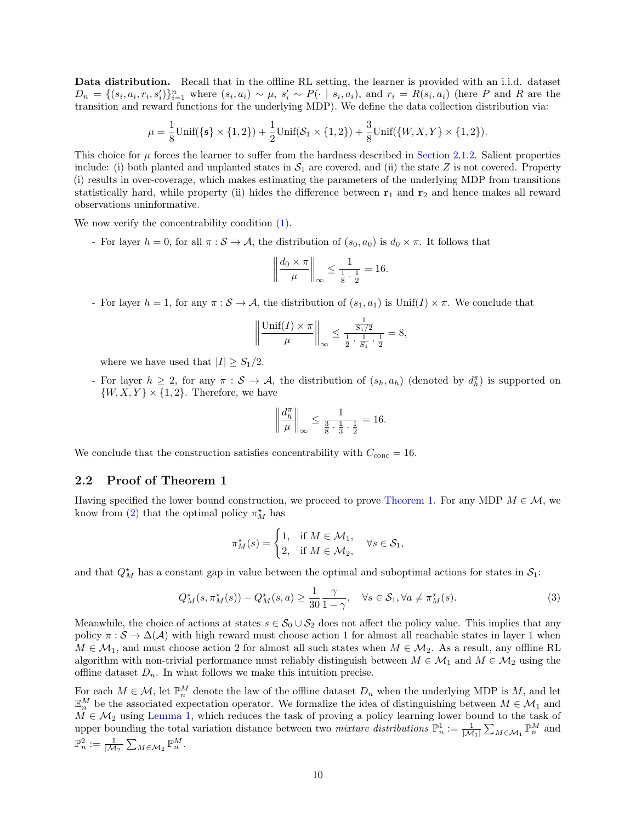Data distribution. Recall that in the offline RL setting, the learner is provided with an i.i.d. dataset  $D_n = \{(s_i, a_i, r_i, s'_i)\}_{i=1}^n$  where  $(s_i, a_i) \sim \mu$ ,  $s'_i \sim P(\cdot | s_i, a_i)$ , and  $r_i = R(s_i, a_i)$  (here P and R are the transition and reward functions for the underlying MDP). We define the data collection distribution via:

$$
\mu = \frac{1}{8}\text{Unif}(\{\mathfrak{s}\} \times \{1,2\}) + \frac{1}{2}\text{Unif}(\mathcal{S}_1 \times \{1,2\}) + \frac{3}{8}\text{Unif}(\{W,X,Y\} \times \{1,2\}).
$$

This choice for  $\mu$  forces the learner to suffer from the hardness described in [Section 2.1.2.](#page-6-1) Salient properties include: (i) both planted and unplanted states in  $S_1$  are covered, and (ii) the state Z is not covered. Property (i) results in over-coverage, which makes estimating the parameters of the underlying MDP from transitions statistically hard, while property (ii) hides the difference between  $r_1$  and  $r_2$  and hence makes all reward observations uninformative.

We now verify the concentrability condition [\(1\).](#page-2-3)

- For layer  $h = 0$ , for all  $\pi : \mathcal{S} \to \mathcal{A}$ , the distribution of  $(s_0, a_0)$  is  $d_0 \times \pi$ . It follows that

$$
\left\| \frac{d_0 \times \pi}{\mu} \right\|_{\infty} \le \frac{1}{\frac{1}{8} \cdot \frac{1}{2}} = 16.
$$

- For layer  $h = 1$ , for any  $\pi : \mathcal{S} \to \mathcal{A}$ , the distribution of  $(s_1, a_1)$  is Unif(I)  $\times \pi$ . We conclude that

$$
\left\| \frac{\text{Unif}(I) \times \pi}{\mu} \right\|_{\infty} \le \frac{\frac{1}{S_1/2}}{\frac{1}{2} \cdot \frac{1}{S_1} \cdot \frac{1}{2}} = 8,
$$

where we have used that  $|I| \geq S_1/2$ .

- For layer  $h \geq 2$ , for any  $\pi : \mathcal{S} \to \mathcal{A}$ , the distribution of  $(s_h, a_h)$  (denoted by  $d_h^{\pi}$ ) is supported on  $\{W, X, Y\} \times \{1, 2\}$ . Therefore, we have

<span id="page-9-1"></span>
$$
\left\|\frac{d_h^{\pi}}{\mu}\right\|_{\infty} \le \frac{1}{\frac{3}{8}\cdot\frac{1}{3}\cdot\frac{1}{2}} = 16.
$$

We conclude that the construction satisfies concentrability with  $C_{\text{conc}} = 16$ .

#### 2.2 Proof of Theorem 1

Having specified the lower bound construction, we proceed to prove [Theorem 1.](#page-2-2) For any MDP  $M \in \mathcal{M}$ , we know from [\(2\)](#page-8-2) that the optimal policy  $\pi_M^{\star}$  has

$$
\pi_M^{\star}(s) = \begin{cases} 1, & \text{if } M \in \mathcal{M}_1, \\ 2, & \text{if } M \in \mathcal{M}_2, \end{cases} \quad \forall s \in \mathcal{S}_1,
$$

and that  $Q_M^*$  has a constant gap in value between the optimal and suboptimal actions for states in  $\mathcal{S}_1$ :

$$
Q_M^{\star}(s, \pi_M^{\star}(s)) - Q_M^{\star}(s, a) \ge \frac{1}{30} \frac{\gamma}{1 - \gamma}, \quad \forall s \in \mathcal{S}_1, \forall a \ne \pi_M^{\star}(s).
$$
 (3)

Meanwhile, the choice of actions at states  $s \in S_0 \cup S_2$  does not affect the policy value. This implies that any policy  $\pi : \mathcal{S} \to \Delta(\mathcal{A})$  with high reward must choose action 1 for almost all reachable states in layer 1 when  $M \in \mathcal{M}_1$ , and must choose action 2 for almost all such states when  $M \in \mathcal{M}_2$ . As a result, any offline RL algorithm with non-trivial performance must reliably distinguish between  $M \in \mathcal{M}_1$  and  $M \in \mathcal{M}_2$  using the offline dataset  $D_n$ . In what follows we make this intuition precise.

<span id="page-9-0"></span>For each  $M \in \mathcal{M}$ , let  $\mathbb{P}_n^M$  denote the law of the offline dataset  $D_n$  when the underlying MDP is  $M$ , and let  $\mathbb{E}_n^M$  be the associated expectation operator. We formalize the idea of distinguishing between  $M \in \mathcal{M}_1$  and  $M \in \mathcal{M}_2$  using [Lemma 1,](#page-9-0) which reduces the task of proving a policy learning lower bound to the task of upper bounding the total variation distance between two *mixture distributions*  $\mathbb{P}_n^1 := \frac{1}{|\mathcal{M}_1|} \sum_{M \in \mathcal{M}_1} \mathbb{P}_n^M$  and  $\mathbb{P}_n^2 := \frac{1}{|\mathcal{M}_2|} \sum_{M \in \mathcal{M}_2} \mathbb{P}_n^M.$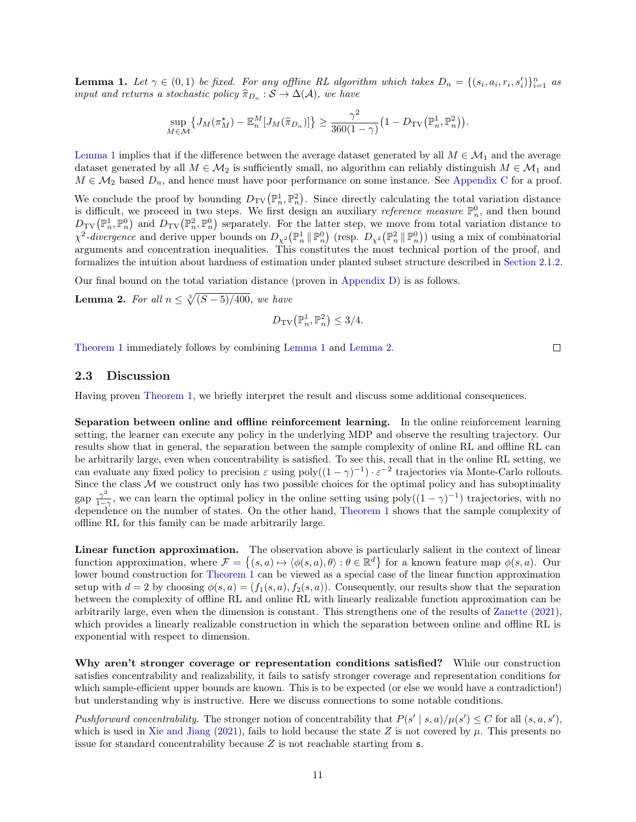**Lemma 1.** Let  $\gamma \in (0,1)$  be fixed. For any offline RL algorithm which takes  $D_n = \{(s_i, a_i, r_i, s'_i)\}_{i=1}^n$  as input and returns a stochastic policy  $\widehat{\pi}_{D_n}: S \to \Delta(\mathcal{A})$ , we have

$$
\sup_{M\in\mathcal{M}}\left\{J_M(\pi_M^\star)-\mathbb{E}_n^M[J_M(\widehat{\pi}_{D_n})]\right\}\geq \frac{\gamma^2}{360(1-\gamma)}\big(1-D_{\text{TV}}\big(\mathbb{P}_n^1,\mathbb{P}_n^2\big)\big).
$$

[Lemma 1](#page-9-0) implies that if the difference between the average dataset generated by all  $M \in \mathcal{M}_1$  and the average dataset generated by all  $M \in \mathcal{M}_2$  is sufficiently small, no algorithm can reliably distinguish  $M \in \mathcal{M}_1$  and  $M \in \mathcal{M}_2$  based  $D_n$ , and hence must have poor performance on some instance. See [Appendix C](#page-18-0) for a proof.

We conclude the proof by bounding  $D_{TV}(\mathbb{P}_n^1, \mathbb{P}_n^2)$ . Since directly calculating the total variation distance is difficult, we proceed in two steps. We first design an auxiliary *reference measure*  $\mathbb{P}_n^0$ , and then bound  $D_{\text{TV}}(\mathbb{P}^1_n, \mathbb{P}^0_n)$  and  $D_{\text{TV}}(\mathbb{P}^2_n, \mathbb{P}^0_n)$  separately. For the latter step, we move from total variation distance to  $\chi^2$ -divergence and derive upper bounds on  $D_{\chi^2}(\mathbb{P}_n^1 \|\mathbb{P}_n^0)$  (resp.  $D_{\chi^2}(\mathbb{P}_n^2 \|\mathbb{P}_n^0)$ ) using a mix of combinatorial arguments and concentration inequalities. This constitutes the most technical portion of the proof, and formalizes the intuition about hardness of estimation under planted subset structure described in [Section 2.1.2.](#page-6-0)

Our final bound on the total variation distance (proven in [Appendix D\)](#page-19-0) is as follows.

<span id="page-10-0"></span>**Lemma 2.** For all  $n \leq \sqrt[3]{(S-5)/400}$ , we have

$$
D_{\rm TV}\big(\mathbb{P}^1_n, \mathbb{P}^2_n\big) \le 3/4.
$$

[Theorem 1](#page-2-2) immediately follows by combining [Lemma 1](#page-9-0) and [Lemma 2.](#page-10-0)

#### 2.3 Discussion

Having proven [Theorem 1,](#page-2-2) we briefly interpret the result and discuss some additional consequences.

Separation between online and offline reinforcement learning. In the online reinforcement learning setting, the learner can execute any policy in the underlying MDP and observe the resulting trajectory. Our results show that in general, the separation between the sample complexity of online RL and offline RL can be arbitrarily large, even when concentrability is satisfied. To see this, recall that in the online RL setting, we can evaluate any fixed policy to precision  $\varepsilon$  using poly $((1 - \gamma)^{-1}) \cdot \varepsilon^{-2}$  trajectories via Monte-Carlo rollouts. Since the class  $M$  we construct only has two possible choices for the optimal policy and has suboptimality gap  $\frac{\gamma^2}{1-\gamma^2}$  $\frac{\gamma^2}{1-\gamma}$ , we can learn the optimal policy in the online setting using poly $((1-\gamma)^{-1})$  trajectories, with no dependence on the number of states. On the other hand, [Theorem 1](#page-2-2) shows that the sample complexity of offline RL for this family can be made arbitrarily large.

Linear function approximation. The observation above is particularly salient in the context of linear function approximation, where  $\mathcal{F} = \{(s, a) \mapsto \langle \phi(s, a), \theta \rangle : \theta \in \mathbb{R}^d\}$  for a known feature map  $\phi(s, a)$ . Our lower bound construction for [Theorem 1](#page-2-2) can be viewed as a special case of the linear function approximation setup with  $d = 2$  by choosing  $\phi(s, a) = (f_1(s, a), f_2(s, a))$ . Consequently, our results show that the separation between the complexity of offline RL and online RL with linearly realizable function approximation can be arbitrarily large, even when the dimension is constant. This strengthens one of the results of [Zanette](#page-15-4) [\(2021\)](#page-15-4), which provides a linearly realizable construction in which the separation between online and offline RL is exponential with respect to dimension.

Why aren't stronger coverage or representation conditions satisfied? While our construction satisfies concentrability and realizability, it fails to satisfy stronger coverage and representation conditions for which sample-efficient upper bounds are known. This is to be expected (or else we would have a contradiction!) but understanding why is instructive. Here we discuss connections to some notable conditions.

Pushforward concentrability. The stronger notion of concentrability that  $P(s' | s, a) / \mu(s') \leq C$  for all  $(s, a, s')$ , which is used in [Xie and Jiang](#page-15-2) [\(2021\)](#page-15-2), fails to hold because the state Z is not covered by  $\mu$ . This presents no issue for standard concentrability because  $Z$  is not reachable starting from  $\mathfrak{s}$ .

 $\Box$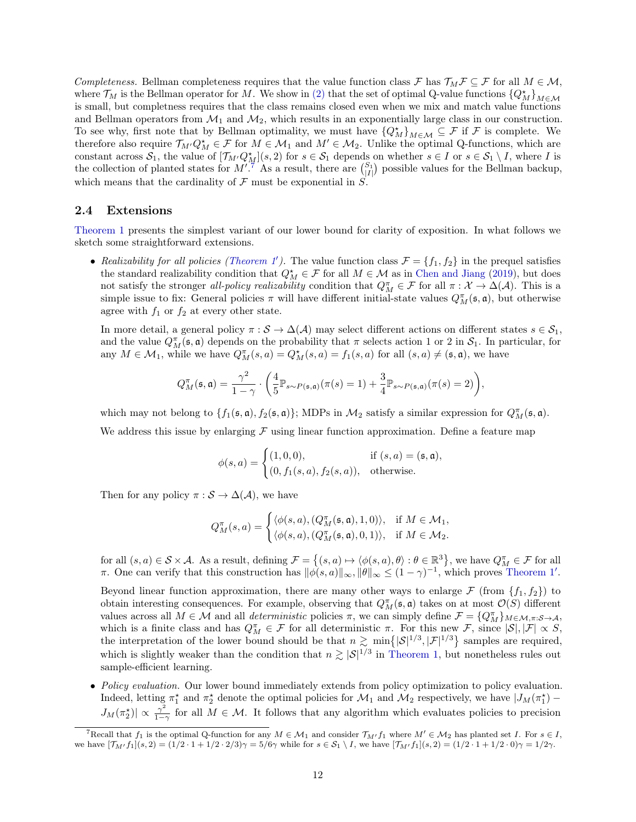Completeness. Bellman completeness requires that the value function class F has  $\mathcal{T}_M \mathcal{F} \subseteq \mathcal{F}$  for all  $M \in \mathcal{M}$ , where  $\mathcal{T}_M$  is the Bellman operator for M. We show in [\(2\)](#page-8-2) that the set of optimal Q-value functions  $\{Q_M^{\star}\}_{M\in\mathcal{M}}$ is small, but completness requires that the class remains closed even when we mix and match value functions and Bellman operators from  $\mathcal{M}_1$  and  $\mathcal{M}_2$ , which results in an exponentially large class in our construction. To see why, first note that by Bellman optimality, we must have  ${Q_M^*}_{M \in \mathcal{M}} \subseteq \mathcal{F}$  if  $\mathcal{F}$  is complete. We therefore also require  $\mathcal{T}_{M'}Q_M^* \in \mathcal{F}$  for  $M \in \mathcal{M}_1$  and  $M' \in \mathcal{M}_2$ . Unlike the optimal Q-functions, which are constant across  $S_1$ , the value of  $[\mathcal{T}_{M'}Q_M^{\star}](s,2)$  for  $s \in S_1$  depends on whether  $s \in I$  or  $s \in S_1 \setminus I$ , where I is the collection of planted states for  $M^{1.7}$  $M^{1.7}$  $M^{1.7}$ . As a result, there are  $\binom{S_1}{|I|}$  possible values for the Bellman backup, which means that the cardinality of  $\mathcal F$  must be exponential in  $S$ .

#### <span id="page-11-0"></span>2.4 Extensions

[Theorem 1](#page-2-2) presents the simplest variant of our lower bound for clarity of exposition. In what follows we sketch some straightforward extensions.

• Realizability for all policies [\(Theorem 1](#page-3-0)'). The value function class  $\mathcal{F} = \{f_1, f_2\}$  in the prequel satisfies the standard realizability condition that  $Q_M^* \in \mathcal{F}$  for all  $M \in \mathcal{M}$  as in [Chen and Jiang](#page-13-8) [\(2019\)](#page-13-8), but does not satisfy the stronger all-policy realizability condition that  $Q_M^{\pi} \in \mathcal{F}$  for all  $\pi: \mathcal{X} \to \Delta(\mathcal{A})$ . This is a simple issue to fix: General policies  $\pi$  will have different initial-state values  $Q_M^{\pi}(\mathfrak{s}, \mathfrak{a})$ , but otherwise agree with  $f_1$  or  $f_2$  at every other state.

In more detail, a general policy  $\pi : \mathcal{S} \to \Delta(\mathcal{A})$  may select different actions on different states  $s \in \mathcal{S}_1$ , and the value  $Q_M^{\pi}(\mathfrak{s}, \mathfrak{a})$  depends on the probability that  $\pi$  selects action 1 or 2 in  $\mathcal{S}_1$ . In particular, for any  $M \in \mathcal{M}_1$ , while we have  $Q_M^{\pi}(s, a) = Q_M^{\star}(s, a) = f_1(s, a)$  for all  $(s, a) \neq (\mathfrak{s}, \mathfrak{a})$ , we have

$$
Q_M^{\pi}(\mathfrak{s}, \mathfrak{a}) = \frac{\gamma^2}{1 - \gamma} \cdot \left( \frac{4}{5} \mathbb{P}_{s \sim P(\mathfrak{s}, \mathfrak{a})} (\pi(s) = 1) + \frac{3}{4} \mathbb{P}_{s \sim P(\mathfrak{s}, \mathfrak{a})} (\pi(s) = 2) \right),
$$

which may not belong to  $\{f_1(\mathfrak{s}, \mathfrak{a}), f_2(\mathfrak{s}, \mathfrak{a})\}$ ; MDPs in  $\mathcal{M}_2$  satisfy a similar expression for  $Q_M^{\pi}(\mathfrak{s}, \mathfrak{a})$ . We address this issue by enlarging  $\mathcal F$  using linear function approximation. Define a feature map

$$
\phi(s, a) = \begin{cases} (1, 0, 0), & \text{if } (s, a) = (\mathfrak{s}, \mathfrak{a}), \\ (0, f_1(s, a), f_2(s, a)), & \text{otherwise.} \end{cases}
$$

Then for any policy  $\pi : \mathcal{S} \to \Delta(\mathcal{A})$ , we have

$$
Q_M^{\pi}(s, a) = \begin{cases} \langle \phi(s, a), (Q_M^{\pi}(s, a), 1, 0) \rangle, & \text{if } M \in \mathcal{M}_1, \\ \langle \phi(s, a), (Q_M^{\pi}(s, a), 0, 1) \rangle, & \text{if } M \in \mathcal{M}_2. \end{cases}
$$

for all  $(s, a) \in \mathcal{S} \times \mathcal{A}$ . As a result, defining  $\mathcal{F} = \{(s, a) \mapsto \langle \phi(s, a), \theta \rangle : \theta \in \mathbb{R}^3\}$ , we have  $Q_M^{\pi} \in \mathcal{F}$  for all  $\pi$ . One can verify that this construction has  $\|\phi(s, a)\|_{\infty}, \|\theta\|_{\infty} \leq (1 - \gamma)^{-1}$ , which proves [Theorem 1](#page-3-0)'.

Beyond linear function approximation, there are many other ways to enlarge  $\mathcal F$  (from  $\{f_1, f_2\}$ ) to obtain interesting consequences. For example, observing that  $Q_M^{\pi}(\mathfrak{s}, \mathfrak{a})$  takes on at most  $\mathcal{O}(S)$  different values across all  $M \in \mathcal{M}$  and all *deterministic* policies  $\pi$ , we can simply define  $\mathcal{F} = \{Q_M^{\pi}\}_{M \in \mathcal{M}, \pi: \mathcal{S} \to \mathcal{A}}$ , which is a finite class and has  $Q_M^{\pi} \in \mathcal{F}$  for all deterministic  $\pi$ . For this new  $\mathcal{F}$ , since  $|\mathcal{S}|, |\mathcal{F}| \propto S$ , the interpretation of the lower bound should be that  $n \geq \min\{|S|^{1/3}, |\mathcal{F}|^{1/3}\}$  samples are required, which is slightly weaker than the condition that  $n \gtrsim |\mathcal{S}|^{1/3}$  in [Theorem 1,](#page-2-2) but nonetheless rules out sample-efficient learning.

• Policy evaluation. Our lower bound immediately extends from policy optimization to policy evaluation. Indeed, letting  $\pi_1^*$  and  $\pi_2^*$  denote the optimal policies for  $\mathcal{M}_1$  and  $\mathcal{M}_2$  respectively, we have  $|J_M(\pi_1^*) J_M(\pi_2^{\star})\vert \propto \frac{\gamma^2}{1-\gamma^2}$  $\frac{\gamma^2}{1-\gamma}$  for all  $M \in \mathcal{M}$ . It follows that any algorithm which evaluates policies to precision

<span id="page-11-1"></span><sup>&</sup>lt;sup>7</sup>Recall that  $f_1$  is the optimal Q-function for any  $M \in \mathcal{M}_1$  and consider  $\mathcal{T}_{M'}f_1$  where  $M' \in \mathcal{M}_2$  has planted set I. For  $s \in I$ , we have  $[\mathcal{T}_{M'}f_1](s,2) = (1/2 \cdot 1 + 1/2 \cdot 2/3)\gamma = 5/6\gamma$  while for  $s \in \mathcal{S}_1 \setminus I$ , we have  $[\mathcal{T}_{M'}f_1](s,2) = (1/2 \cdot 1 + 1/2 \cdot 0)\gamma = 1/2\gamma$ .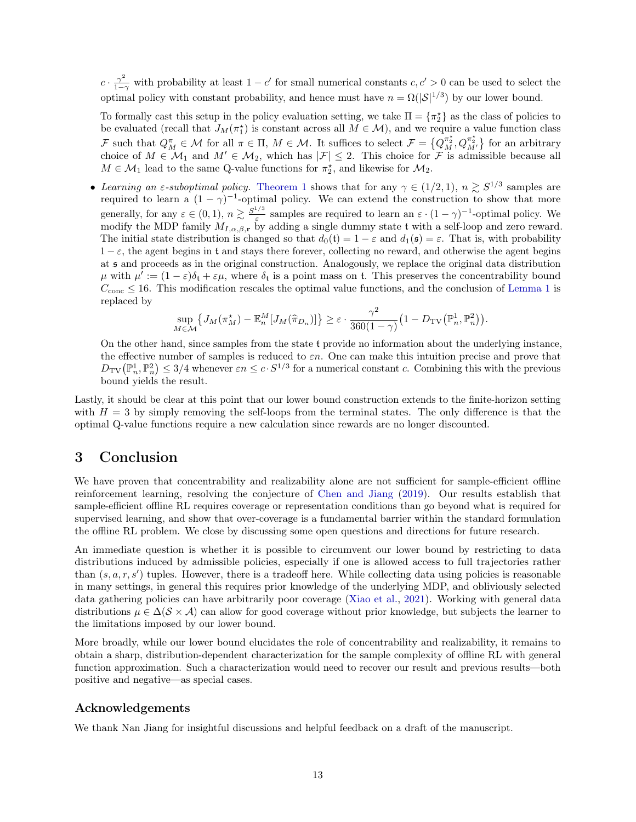$c \cdot \frac{\gamma^2}{1-\gamma}$  with probability at least  $1-c'$  for small numerical constants  $c, c' > 0$  can be used to select the optimal policy with constant probability, and hence must have  $n = \Omega(|\mathcal{S}|^{1/3})$  by our lower bound.

To formally cast this setup in the policy evaluation setting, we take  $\Pi = \{\pi_2^{\star}\}\$ as the class of policies to be evaluated (recall that  $J_M(\pi_1^*)$  is constant across all  $M \in \mathcal{M}$ ), and we require a value function class F such that  $Q_M^{\pi} \in \mathcal{M}$  for all  $\pi \in \Pi$ ,  $M \in \mathcal{M}$ . It suffices to select  $\mathcal{F} = \{Q_M^{\pi_2^*}, Q_{M'}^{\pi_2^*}\}$  for an arbitrary choice of  $M \in \mathcal{M}_1$  and  $M' \in \mathcal{M}_2$ , which has  $|\mathcal{F}| \leq 2$ . This choice for  $\mathcal{F}$  is admissible because all  $M \in \mathcal{M}_1$  lead to the same Q-value functions for  $\pi_2^*$ , and likewise for  $\mathcal{M}_2$ .

• Learning an  $\varepsilon$ -suboptimal policy. [Theorem 1](#page-2-2) shows that for any  $\gamma \in (1/2,1), n \geq S^{1/3}$  samples are required to learn a  $(1 - \gamma)^{-1}$ -optimal policy. We can extend the construction to show that more generally, for any  $\varepsilon \in (0,1)$ ,  $n \gtrsim \frac{S^{1/3}}{\varepsilon}$  $\frac{\varepsilon}{\varepsilon}$  samples are required to learn an  $\varepsilon \cdot (1 - \gamma)^{-1}$ -optimal policy. We modify the MDP family  $M_{I,\alpha,\beta,r}$  by adding a single dummy state t with a self-loop and zero reward. The initial state distribution is changed so that  $d_0(t) = 1 - \varepsilon$  and  $d_1(\mathfrak{s}) = \varepsilon$ . That is, with probability  $1 - \varepsilon$ , the agent begins in t and stays there forever, collecting no reward, and otherwise the agent begins at s and proceeds as in the original construction. Analogously, we replace the original data distribution  $\mu$  with  $\mu' := (1 - \varepsilon)\delta_t + \varepsilon\mu$ , where  $\delta_t$  is a point mass on t. This preserves the concentrability bound  $C_{\text{conc}} \leq 16$ . This modification rescales the optimal value functions, and the conclusion of [Lemma 1](#page-9-0) is replaced by

$$
\sup_{M\in\mathcal{M}}\left\{J_M(\pi_M^\star)-\mathbb{E}_n^M[J_M(\widehat{\pi}_{D_n})]\right\}\geq \varepsilon\cdot\frac{\gamma^2}{360(1-\gamma)}\big(1-D_{\text{TV}}\big(\mathbb{P}_n^1,\mathbb{P}_n^2\big)\big).
$$

On the other hand, since samples from the state t provide no information about the underlying instance, the effective number of samples is reduced to  $\varepsilon n$ . One can make this intuition precise and prove that  $D_{\text{TV}}(\mathbb{P}^1_n, \mathbb{P}^2_n) \leq 3/4$  whenever  $\varepsilon n \leq c \cdot S^{1/3}$  for a numerical constant c. Combining this with the previous bound yields the result.

Lastly, it should be clear at this point that our lower bound construction extends to the finite-horizon setting with  $H = 3$  by simply removing the self-loops from the terminal states. The only difference is that the optimal Q-value functions require a new calculation since rewards are no longer discounted.

### 3 Conclusion

We have proven that concentrability and realizability alone are not sufficient for sample-efficient offline reinforcement learning, resolving the conjecture of [Chen and Jiang](#page-13-8) [\(2019\)](#page-13-8). Our results establish that sample-efficient offline RL requires coverage or representation conditions than go beyond what is required for supervised learning, and show that over-coverage is a fundamental barrier within the standard formulation the offline RL problem. We close by discussing some open questions and directions for future research.

An immediate question is whether it is possible to circumvent our lower bound by restricting to data distributions induced by admissible policies, especially if one is allowed access to full trajectories rather than  $(s, a, r, s')$  tuples. However, there is a tradeoff here. While collecting data using policies is reasonable in many settings, in general this requires prior knowledge of the underlying MDP, and obliviously selected data gathering policies can have arbitrarily poor coverage [\(Xiao et al.,](#page-15-8) [2021\)](#page-15-8). Working with general data distributions  $\mu \in \Delta(\mathcal{S} \times \mathcal{A})$  can allow for good coverage without prior knowledge, but subjects the learner to the limitations imposed by our lower bound.

More broadly, while our lower bound elucidates the role of concentrability and realizability, it remains to obtain a sharp, distribution-dependent characterization for the sample complexity of offline RL with general function approximation. Such a characterization would need to recover our result and previous results—both positive and negative—as special cases.

### Acknowledgements

We thank Nan Jiang for insightful discussions and helpful feedback on a draft of the manuscript.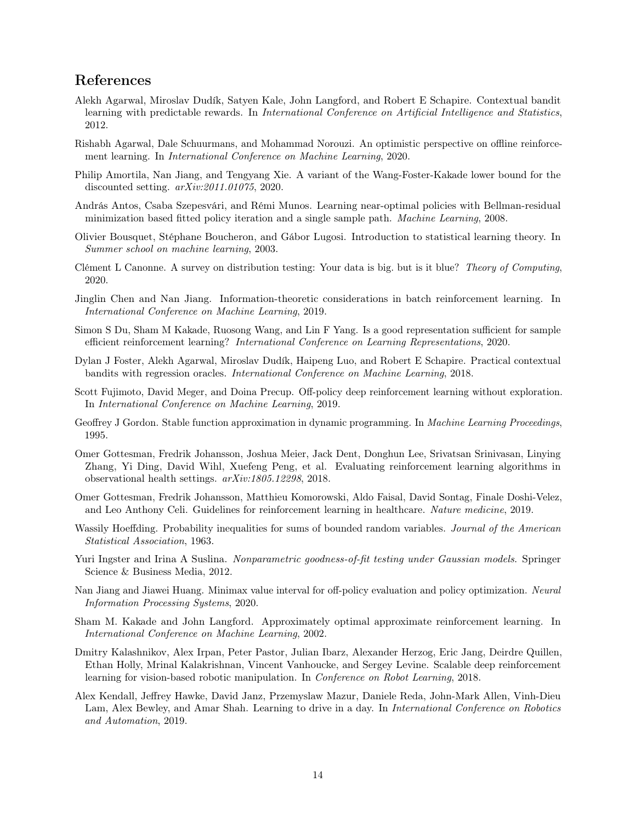# References

- <span id="page-13-10"></span>Alekh Agarwal, Miroslav Dudík, Satyen Kale, John Langford, and Robert E Schapire. Contextual bandit learning with predictable rewards. In *International Conference on Artificial Intelligence and Statistics*, 2012.
- <span id="page-13-5"></span>Rishabh Agarwal, Dale Schuurmans, and Mohammad Norouzi. An optimistic perspective on offline reinforcement learning. In International Conference on Machine Learning, 2020.
- <span id="page-13-13"></span>Philip Amortila, Nan Jiang, and Tengyang Xie. A variant of the Wang-Foster-Kakade lower bound for the discounted setting. arXiv:2011.01075, 2020.
- <span id="page-13-6"></span>András Antos, Csaba Szepesvári, and Rémi Munos. Learning near-optimal policies with Bellman-residual minimization based fitted policy iteration and a single sample path. Machine Learning, 2008.
- <span id="page-13-9"></span>Olivier Bousquet, Stéphane Boucheron, and Gábor Lugosi. Introduction to statistical learning theory. In Summer school on machine learning, 2003.
- <span id="page-13-12"></span>Clément L Canonne. A survey on distribution testing: Your data is big. but is it blue? Theory of Computing, 2020.
- <span id="page-13-8"></span>Jinglin Chen and Nan Jiang. Information-theoretic considerations in batch reinforcement learning. In International Conference on Machine Learning, 2019.
- <span id="page-13-14"></span>Simon S Du, Sham M Kakade, Ruosong Wang, and Lin F Yang. Is a good representation sufficient for sample efficient reinforcement learning? International Conference on Learning Representations, 2020.
- <span id="page-13-11"></span>Dylan J Foster, Alekh Agarwal, Miroslav Dudík, Haipeng Luo, and Robert E Schapire. Practical contextual bandits with regression oracles. International Conference on Machine Learning, 2018.
- <span id="page-13-4"></span>Scott Fujimoto, David Meger, and Doina Precup. Off-policy deep reinforcement learning without exploration. In International Conference on Machine Learning, 2019.
- <span id="page-13-7"></span>Geoffrey J Gordon. Stable function approximation in dynamic programming. In Machine Learning Proceedings, 1995.
- <span id="page-13-2"></span>Omer Gottesman, Fredrik Johansson, Joshua Meier, Jack Dent, Donghun Lee, Srivatsan Srinivasan, Linying Zhang, Yi Ding, David Wihl, Xuefeng Peng, et al. Evaluating reinforcement learning algorithms in observational health settings. arXiv:1805.12298, 2018.
- <span id="page-13-3"></span>Omer Gottesman, Fredrik Johansson, Matthieu Komorowski, Aldo Faisal, David Sontag, Finale Doshi-Velez, and Leo Anthony Celi. Guidelines for reinforcement learning in healthcare. Nature medicine, 2019.
- <span id="page-13-18"></span>Wassily Hoeffding. Probability inequalities for sums of bounded random variables. Journal of the American Statistical Association, 1963.
- <span id="page-13-16"></span>Yuri Ingster and Irina A Suslina. Nonparametric goodness-of-fit testing under Gaussian models. Springer Science & Business Media, 2012.
- <span id="page-13-15"></span>Nan Jiang and Jiawei Huang. Minimax value interval for off-policy evaluation and policy optimization. Neural Information Processing Systems, 2020.
- <span id="page-13-17"></span>Sham M. Kakade and John Langford. Approximately optimal approximate reinforcement learning. In International Conference on Machine Learning, 2002.
- <span id="page-13-0"></span>Dmitry Kalashnikov, Alex Irpan, Peter Pastor, Julian Ibarz, Alexander Herzog, Eric Jang, Deirdre Quillen, Ethan Holly, Mrinal Kalakrishnan, Vincent Vanhoucke, and Sergey Levine. Scalable deep reinforcement learning for vision-based robotic manipulation. In Conference on Robot Learning, 2018.
- <span id="page-13-1"></span>Alex Kendall, Jeffrey Hawke, David Janz, Przemyslaw Mazur, Daniele Reda, John-Mark Allen, Vinh-Dieu Lam, Alex Bewley, and Amar Shah. Learning to drive in a day. In *International Conference on Robotics* and Automation, 2019.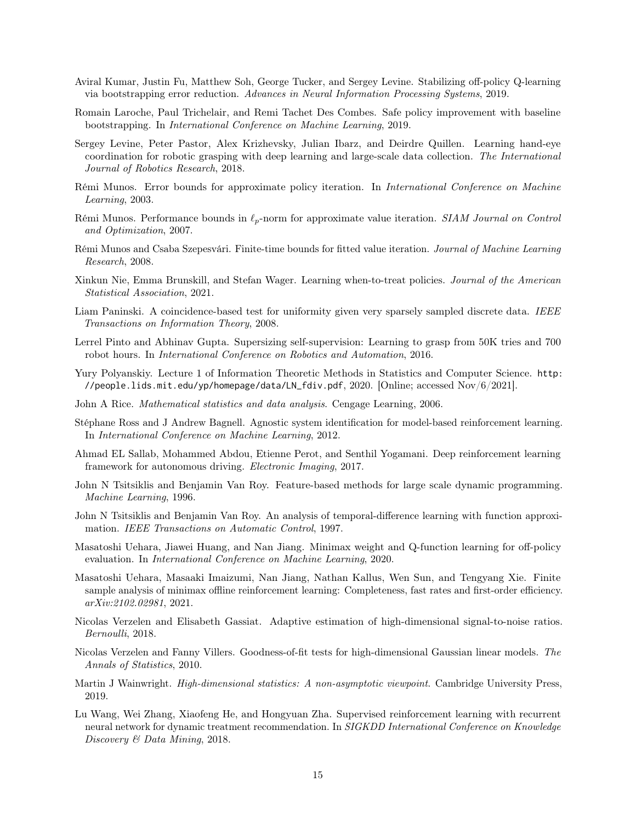- <span id="page-14-7"></span>Aviral Kumar, Justin Fu, Matthew Soh, George Tucker, and Sergey Levine. Stabilizing off-policy Q-learning via bootstrapping error reduction. Advances in Neural Information Processing Systems, 2019.
- <span id="page-14-6"></span>Romain Laroche, Paul Trichelair, and Remi Tachet Des Combes. Safe policy improvement with baseline bootstrapping. In International Conference on Machine Learning, 2019.
- <span id="page-14-1"></span>Sergey Levine, Peter Pastor, Alex Krizhevsky, Julian Ibarz, and Deirdre Quillen. Learning hand-eye coordination for robotic grasping with deep learning and large-scale data collection. The International Journal of Robotics Research, 2018.
- <span id="page-14-8"></span>Rémi Munos. Error bounds for approximate policy iteration. In International Conference on Machine Learning, 2003.
- <span id="page-14-9"></span>Rémi Munos. Performance bounds in  $\ell_p$ -norm for approximate value iteration. *SIAM Journal on Control* and Optimization, 2007.
- <span id="page-14-10"></span>Rémi Munos and Csaba Szepesvári. Finite-time bounds for fitted value iteration. Journal of Machine Learning Research, 2008.
- <span id="page-14-4"></span>Xinkun Nie, Emma Brunskill, and Stefan Wager. Learning when-to-treat policies. Journal of the American Statistical Association, 2021.
- <span id="page-14-14"></span>Liam Paninski. A coincidence-based test for uniformity given very sparsely sampled discrete data. IEEE Transactions on Information Theory, 2008.
- <span id="page-14-0"></span>Lerrel Pinto and Abhinav Gupta. Supersizing self-supervision: Learning to grasp from 50K tries and 700 robot hours. In International Conference on Robotics and Automation, 2016.
- <span id="page-14-19"></span>Yury Polyanskiy. Lecture 1 of Information Theoretic Methods in Statistics and Computer Science. [http:](http://people.lids.mit.edu/yp/homepage/data/LN_fdiv.pdf) [//people.lids.mit.edu/yp/homepage/data/LN\\_fdiv.pdf](http://people.lids.mit.edu/yp/homepage/data/LN_fdiv.pdf),  $2020$ . [Online; accessed  $\text{Nov}/6/2021$ ].
- <span id="page-14-20"></span>John A Rice. Mathematical statistics and data analysis. Cengage Learning, 2006.
- <span id="page-14-5"></span>Stéphane Ross and J Andrew Bagnell. Agnostic system identification for model-based reinforcement learning. In International Conference on Machine Learning, 2012.
- <span id="page-14-2"></span>Ahmad EL Sallab, Mohammed Abdou, Etienne Perot, and Senthil Yogamani. Deep reinforcement learning framework for autonomous driving. Electronic Imaging, 2017.
- <span id="page-14-11"></span>John N Tsitsiklis and Benjamin Van Roy. Feature-based methods for large scale dynamic programming. Machine Learning, 1996.
- <span id="page-14-12"></span>John N Tsitsiklis and Benjamin Van Roy. An analysis of temporal-difference learning with function approximation. IEEE Transactions on Automatic Control, 1997.
- <span id="page-14-17"></span>Masatoshi Uehara, Jiawei Huang, and Nan Jiang. Minimax weight and Q-function learning for off-policy evaluation. In International Conference on Machine Learning, 2020.
- <span id="page-14-18"></span>Masatoshi Uehara, Masaaki Imaizumi, Nan Jiang, Nathan Kallus, Wen Sun, and Tengyang Xie. Finite sample analysis of minimax offline reinforcement learning: Completeness, fast rates and first-order efficiency. arXiv:2102.02981, 2021.
- <span id="page-14-16"></span>Nicolas Verzelen and Elisabeth Gassiat. Adaptive estimation of high-dimensional signal-to-noise ratios. Bernoulli, 2018.
- <span id="page-14-15"></span>Nicolas Verzelen and Fanny Villers. Goodness-of-fit tests for high-dimensional Gaussian linear models. The Annals of Statistics, 2010.
- <span id="page-14-13"></span>Martin J Wainwright. High-dimensional statistics: A non-asymptotic viewpoint. Cambridge University Press, 2019.
- <span id="page-14-3"></span>Lu Wang, Wei Zhang, Xiaofeng He, and Hongyuan Zha. Supervised reinforcement learning with recurrent neural network for dynamic treatment recommendation. In SIGKDD International Conference on Knowledge Discovery & Data Mining, 2018.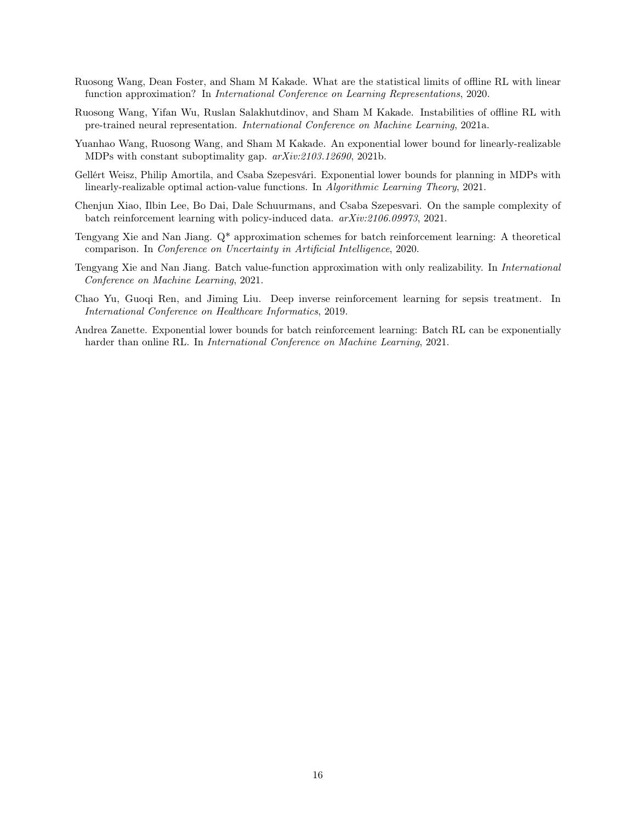- <span id="page-15-3"></span>Ruosong Wang, Dean Foster, and Sham M Kakade. What are the statistical limits of offline RL with linear function approximation? In International Conference on Learning Representations, 2020.
- <span id="page-15-1"></span>Ruosong Wang, Yifan Wu, Ruslan Salakhutdinov, and Sham M Kakade. Instabilities of offline RL with pre-trained neural representation. International Conference on Machine Learning, 2021a.
- <span id="page-15-6"></span>Yuanhao Wang, Ruosong Wang, and Sham M Kakade. An exponential lower bound for linearly-realizable MDPs with constant suboptimality gap. arXiv:2103.12690, 2021b.
- <span id="page-15-5"></span>Gellért Weisz, Philip Amortila, and Csaba Szepesvári. Exponential lower bounds for planning in MDPs with linearly-realizable optimal action-value functions. In Algorithmic Learning Theory, 2021.
- <span id="page-15-8"></span>Chenjun Xiao, Ilbin Lee, Bo Dai, Dale Schuurmans, and Csaba Szepesvari. On the sample complexity of batch reinforcement learning with policy-induced data. arXiv:2106.09973, 2021.
- <span id="page-15-7"></span>Tengyang Xie and Nan Jiang. Q\* approximation schemes for batch reinforcement learning: A theoretical comparison. In Conference on Uncertainty in Artificial Intelligence, 2020.
- <span id="page-15-2"></span>Tengyang Xie and Nan Jiang. Batch value-function approximation with only realizability. In International Conference on Machine Learning, 2021.
- <span id="page-15-0"></span>Chao Yu, Guoqi Ren, and Jiming Liu. Deep inverse reinforcement learning for sepsis treatment. In International Conference on Healthcare Informatics, 2019.
- <span id="page-15-4"></span>Andrea Zanette. Exponential lower bounds for batch reinforcement learning: Batch RL can be exponentially harder than online RL. In *International Conference on Machine Learning*, 2021.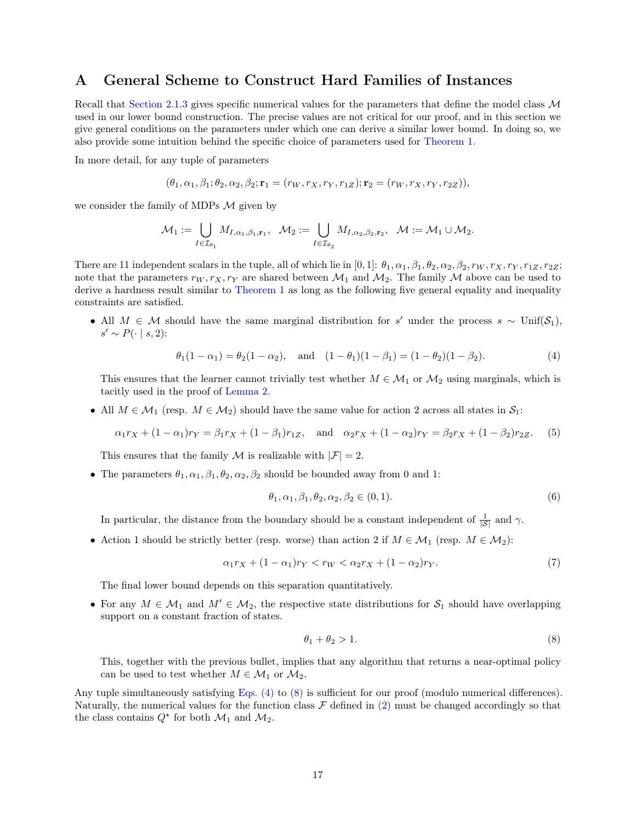# <span id="page-16-0"></span>A General Scheme to Construct Hard Families of Instances

Recall that [Section 2.1.3](#page-7-0) gives specific numerical values for the parameters that define the model class M used in our lower bound construction. The precise values are not critical for our proof, and in this section we give general conditions on the parameters under which one can derive a similar lower bound. In doing so, we also provide some intuition behind the specific choice of parameters used for [Theorem 1.](#page-2-2)

In more detail, for any tuple of parameters

$$
(\theta_1, \alpha_1, \beta_1; \theta_2, \alpha_2, \beta_2; \mathbf{r}_1 = (r_W, r_X, r_Y, r_{1Z}); \mathbf{r}_2 = (r_W, r_X, r_Y, r_{2Z})),
$$

we consider the family of MDPs  $M$  given by

$$
\mathcal{M}_1:=\bigcup_{I\in\mathcal{I}_{\theta_1}}M_{I,\alpha_1,\beta_1,\mathbf{r}_1},\quad \mathcal{M}_2:=\bigcup_{I\in\mathcal{I}_{\theta_2}}M_{I,\alpha_2,\beta_2,\mathbf{r}_2},\quad \mathcal{M}:=\mathcal{M}_1\cup\mathcal{M}_2.
$$

There are 11 independent scalars in the tuple, all of which lie in [0, 1]:  $\theta_1, \alpha_1, \beta_1, \theta_2, \alpha_2, \beta_2, r_W, r_X, r_Y, r_{1Z}, r_{2Z};$ note that the parameters  $r_W, r_X, r_Y$  are shared between  $\mathcal{M}_1$  and  $\mathcal{M}_2$ . The family  $\mathcal M$  above can be used to derive a hardness result similar to [Theorem 1](#page-2-2) as long as the following five general equality and inequality constraints are satisfied.

• All  $M \in \mathcal{M}$  should have the same marginal distribution for s' under the process s ~ Unif(S<sub>1</sub>),  $s' \sim P(\cdot \mid s, 2)$ :

<span id="page-16-1"></span>
$$
\theta_1(1-\alpha_1) = \theta_2(1-\alpha_2)
$$
, and  $(1-\theta_1)(1-\beta_1) = (1-\theta_2)(1-\beta_2)$ . (4)

This ensures that the learner cannot trivially test whether  $M \in \mathcal{M}_1$  or  $\mathcal{M}_2$  using marginals, which is tacitly used in the proof of [Lemma 2.](#page-10-0)

• All  $M \in \mathcal{M}_1$  (resp.  $M \in \mathcal{M}_2$ ) should have the same value for action 2 across all states in  $\mathcal{S}_1$ :

$$
\alpha_1 r_X + (1 - \alpha_1) r_Y = \beta_1 r_X + (1 - \beta_1) r_{1Z}, \text{ and } \alpha_2 r_X + (1 - \alpha_2) r_Y = \beta_2 r_X + (1 - \beta_2) r_{2Z}. \tag{5}
$$

This ensures that the family M is realizable with  $|\mathcal{F}| = 2$ .

• The parameters  $\theta_1, \alpha_1, \beta_1, \theta_2, \alpha_2, \beta_2$  should be bounded away from 0 and 1:

$$
\theta_1, \alpha_1, \beta_1, \theta_2, \alpha_2, \beta_2 \in (0, 1). \tag{6}
$$

In particular, the distance from the boundary should be a constant independent of  $\frac{1}{|S|}$  and  $\gamma$ .

• Action 1 should be strictly better (resp. worse) than action 2 if  $M \in \mathcal{M}_1$  (resp.  $M \in \mathcal{M}_2$ ):

$$
\alpha_1 r_X + (1 - \alpha_1) r_Y < r_W < \alpha_2 r_X + (1 - \alpha_2) r_Y. \tag{7}
$$

The final lower bound depends on this separation quantitatively.

• For any  $M \in \mathcal{M}_1$  and  $M' \in \mathcal{M}_2$ , the respective state distributions for  $\mathcal{S}_1$  should have overlapping support on a constant fraction of states.

<span id="page-16-2"></span>
$$
\theta_1 + \theta_2 > 1. \tag{8}
$$

This, together with the previous bullet, implies that any algorithm that returns a near-optimal policy can be used to test whether  $M \in \mathcal{M}_1$  or  $\mathcal{M}_2$ .

Any tuple simultaneously satisfying [Eqs. \(4\)](#page-16-1) to [\(8\)](#page-16-2) is sufficient for our proof (modulo numerical differences). Naturally, the numerical values for the function class  $\mathcal F$  defined in [\(2\)](#page-8-2) must be changed accordingly so that the class contains  $Q^*$  for both  $\mathcal{M}_1$  and  $\mathcal{M}_2$ .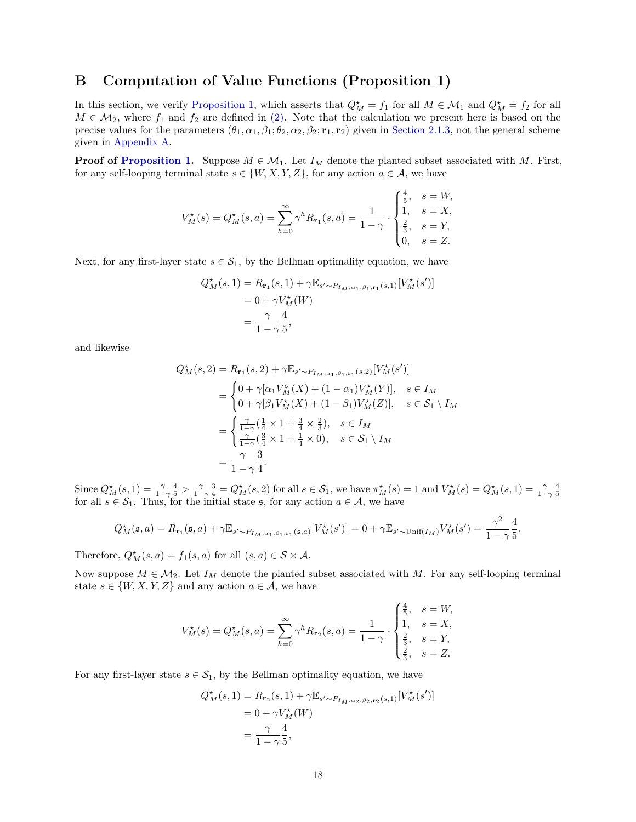# <span id="page-17-0"></span>B Computation of Value Functions (Proposition 1)

In this section, we verify [Proposition 1,](#page-8-3) which asserts that  $Q_M^* = f_1$  for all  $M \in \mathcal{M}_1$  and  $Q_M^* = f_2$  for all  $M \in \mathcal{M}_2$ , where  $f_1$  and  $f_2$  are defined in [\(2\).](#page-8-2) Note that the calculation we present here is based on the precise values for the parameters  $(\theta_1, \alpha_1, \beta_1; \theta_2, \alpha_2, \beta_2; \mathbf{r}_1, \mathbf{r}_2)$  given in [Section 2.1.3,](#page-7-0) not the general scheme given in [Appendix A.](#page-16-0)

**Proof of [Proposition 1.](#page-8-3)** Suppose  $M \in \mathcal{M}_1$ . Let  $I_M$  denote the planted subset associated with M. First, for any self-looping terminal state  $s \in \{W, X, Y, Z\}$ , for any action  $a \in \mathcal{A}$ , we have

$$
V_M^{\star}(s) = Q_M^{\star}(s, a) = \sum_{h=0}^{\infty} \gamma^h R_{r_1}(s, a) = \frac{1}{1 - \gamma} \cdot \begin{cases} \frac{4}{5}, & s = W, \\ 1, & s = X, \\ \frac{2}{3}, & s = Y, \\ 0, & s = Z. \end{cases}
$$

Next, for any first-layer state  $s \in S_1$ , by the Bellman optimality equation, we have

$$
Q_M^*(s, 1) = R_{\mathbf{r}_1}(s, 1) + \gamma \mathbb{E}_{s' \sim P_{I_M, \alpha_1, \beta_1, \mathbf{r}_1}(s, 1)}[V_M^*(s')]
$$
  
= 0 + \gamma V\_M^\*(W)  
=  $\frac{\gamma}{1 - \gamma} \frac{4}{5}$ ,

and likewise

$$
Q_M^{\star}(s,2) = R_{\mathbf{r}_1}(s,2) + \gamma \mathbb{E}_{s' \sim P_{I_M,\alpha_1,\beta_1,\mathbf{r}_1}(s,2)}[V_M^{\star}(s')]
$$
  
= 
$$
\begin{cases} 0 + \gamma[\alpha_1 V_M^s(X) + (1 - \alpha_1) V_M^{\star}(Y)], & s \in I_M \\ 0 + \gamma[\beta_1 V_M^{\star}(X) + (1 - \beta_1) V_M^{\star}(Z)], & s \in S_1 \setminus I_M \end{cases}
$$
  
= 
$$
\begin{cases} \frac{\gamma}{1-\gamma}(\frac{1}{4} \times 1 + \frac{3}{4} \times \frac{2}{3}), & s \in I_M \\ \frac{\gamma}{1-\gamma}(\frac{3}{4} \times 1 + \frac{1}{4} \times 0), & s \in S_1 \setminus I_M \end{cases}
$$
  
= 
$$
\frac{\gamma}{1-\gamma} \frac{3}{4}.
$$

Since  $Q_M^*(s,1) = \frac{\gamma}{1-\gamma} \frac{4}{5} > \frac{\gamma}{1-\gamma} \frac{3}{4} = Q_M^*(s,2)$  for all  $s \in \mathcal{S}_1$ , we have  $\pi_M^*(s) = 1$  and  $V_M^*(s) = Q_M^*(s,1) = \frac{\gamma}{1-\gamma} \frac{4}{5}$ for all  $s \in S_1$ . Thus, for the initial state  $\mathfrak{s}$ , for any action  $a \in A$ , we have

$$
Q_M^{\star}(\mathfrak{s},a) = R_{\mathbf{r}_1}(\mathfrak{s},a) + \gamma \mathbb{E}_{s' \sim P_{I_M,\alpha_1,\beta_1,\mathbf{r}_1}(\mathfrak{s},a)}[V_M^{\star}(s')] = 0 + \gamma \mathbb{E}_{s' \sim \text{Unif}(I_M)}V_M^{\star}(s') = \frac{\gamma^2}{1-\gamma} \frac{4}{5}.
$$

Therefore,  $Q_M^*(s, a) = f_1(s, a)$  for all  $(s, a) \in S \times A$ .

Now suppose  $M \in \mathcal{M}_2$ . Let  $I_M$  denote the planted subset associated with M. For any self-looping terminal state  $s \in \{W, X, Y, Z\}$  and any action  $a \in \mathcal{A}$ , we have

$$
V_M^{\star}(s) = Q_M^{\star}(s, a) = \sum_{h=0}^{\infty} \gamma^h R_{\mathbf{r}_2}(s, a) = \frac{1}{1 - \gamma} \cdot \begin{cases} \frac{4}{5}, & s = W, \\ 1, & s = X, \\ \frac{2}{3}, & s = Y, \\ \frac{2}{3}, & s = Z. \end{cases}
$$

For any first-layer state  $s \in \mathcal{S}_1$ , by the Bellman optimality equation, we have

$$
Q_M^{\star}(s,1) = R_{\mathbf{r}_2}(s,1) + \gamma \mathbb{E}_{s' \sim P_{I_M, \alpha_2, \beta_2, \mathbf{r}_2}(s,1)}[V_M^{\star}(s')]
$$
  
= 0 + \gamma V\_M^{\star}(W)  
=  $\frac{\gamma}{1-\gamma} \frac{4}{5}$ ,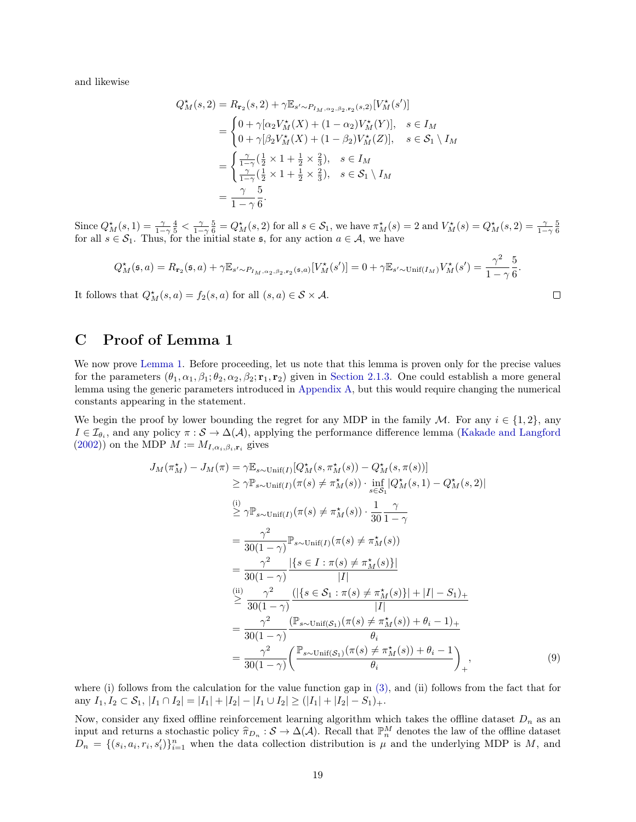and likewise

$$
Q_M^*(s, 2) = R_{r_2}(s, 2) + \gamma \mathbb{E}_{s' \sim P_{I_M, \alpha_2, \beta_2, r_2}(s, 2)}[V_M^*(s')]
$$
  
= 
$$
\begin{cases} 0 + \gamma [\alpha_2 V_M^*(X) + (1 - \alpha_2) V_M^*(Y)], & s \in I_M \\ 0 + \gamma [\beta_2 V_M^*(X) + (1 - \beta_2) V_M^*(Z)], & s \in S_1 \setminus I_M \end{cases}
$$
  
= 
$$
\begin{cases} \frac{\gamma}{1 - \gamma} (\frac{1}{2} \times 1 + \frac{1}{2} \times \frac{2}{3}), & s \in I_M \\ \frac{\gamma}{1 - \gamma} (\frac{1}{2} \times 1 + \frac{1}{2} \times \frac{2}{3}), & s \in S_1 \setminus I_M \end{cases}
$$
  
= 
$$
\frac{\gamma}{1 - \gamma} \frac{5}{6}.
$$

Since  $Q_M^*(s,1) = \frac{\gamma}{1-\gamma} \frac{4}{5} < \frac{\gamma}{1-\gamma} \frac{5}{6} = Q_M^*(s,2)$  for all  $s \in \mathcal{S}_1$ , we have  $\pi_M^*(s) = 2$  and  $V_M^*(s) = Q_M^*(s,2) = \frac{\gamma}{1-\gamma} \frac{5}{6}$  for all  $s \in \mathcal{S}_1$ . Thus, for the initial state  $\mathfrak{s}$ , for any action  $a \in$ 

$$
Q_M^{\star}(\mathfrak{s},a) = R_{\mathbf{r}_2}(\mathfrak{s},a) + \gamma \mathbb{E}_{s' \sim P_{I_M,\alpha_2,\beta_2,\mathbf{r}_2}(\mathfrak{s},a)}[V_M^{\star}(s')] = 0 + \gamma \mathbb{E}_{s' \sim \text{Unif}(I_M)} V_M^{\star}(s') = \frac{\gamma^2}{1-\gamma} \frac{5}{6}.
$$

<span id="page-18-1"></span> $\Box$ 

It follows that  $Q_M^*(s, a) = f_2(s, a)$  for all  $(s, a) \in S \times A$ .

<span id="page-18-0"></span>C Proof of Lemma 1

We now prove [Lemma 1.](#page-9-0) Before proceeding, let us note that this lemma is proven only for the precise values for the parameters  $(\theta_1, \alpha_1, \beta_1; \theta_2, \alpha_2, \beta_2; \mathbf{r}_1, \mathbf{r}_2)$  given in [Section 2.1.3.](#page-7-0) One could establish a more general lemma using the generic parameters introduced in [Appendix A,](#page-16-0) but this would require changing the numerical constants appearing in the statement.

We begin the proof by lower bounding the regret for any MDP in the family M. For any  $i \in \{1,2\}$ , any  $I \in \mathcal{I}_{\theta_i}$ , and any policy  $\pi : \mathcal{S} \to \Delta(\mathcal{A})$ , applying the performance difference lemma [\(Kakade and Langford](#page-13-17)  $(2002)$ ) on the MDP  $M := M_{I,\alpha_i,\beta_i,\mathbf{r}_i}$  gives

$$
J_{M}(\pi_{M}^{*}) - J_{M}(\pi) = \gamma \mathbb{E}_{s \sim \text{Unif}(I)}[Q_{M}^{*}(s, \pi_{M}^{*}(s)) - Q_{M}^{*}(s, \pi(s))]
$$
  
\n
$$
\geq \gamma \mathbb{P}_{s \sim \text{Unif}(I)}(\pi(s) \neq \pi_{M}^{*}(s)) \cdot \inf_{s \in S_{1}}[Q_{M}^{*}(s, 1) - Q_{M}^{*}(s, 2)]
$$
  
\n(i)  
\n(j)  
\n
$$
\geq \gamma \mathbb{P}_{s \sim \text{Unif}(I)}(\pi(s) \neq \pi_{M}^{*}(s)) \cdot \frac{1}{30} \frac{\gamma}{1 - \gamma}
$$
  
\n
$$
= \frac{\gamma^{2}}{30(1 - \gamma)} \mathbb{P}_{s \sim \text{Unif}(I)}(\pi(s) \neq \pi_{M}^{*}(s))
$$
  
\n
$$
= \frac{\gamma^{2}}{30(1 - \gamma)} \frac{|\{s \in I : \pi(s) \neq \pi_{M}^{*}(s)\}|}{|I|}
$$
  
\n
$$
\geq \frac{\gamma^{2}}{30(1 - \gamma)} \frac{(|\{s \in S_{1} : \pi(s) \neq \pi_{M}^{*}(s)\}| + |I| - S_{1})_{+}}{|I|}
$$
  
\n
$$
= \frac{\gamma^{2}}{30(1 - \gamma)} \frac{(\mathbb{P}_{s \sim \text{Unif}(S_{1})}(\pi(s) \neq \pi_{M}^{*}(s)) + \theta_{i} - 1)_{+}}{\theta_{i}}
$$
  
\n
$$
= \frac{\gamma^{2}}{30(1 - \gamma)} \left(\frac{\mathbb{P}_{s \sim \text{Unif}(S_{1})}(\pi(s) \neq \pi_{M}^{*}(s)) + \theta_{i} - 1}{\theta_{i}}\right)_{+},
$$
  
\n(9)

where (i) follows from the calculation for the value function gap in  $(3)$ , and (ii) follows from the fact that for any  $I_1, I_2 \subset S_1$ ,  $|I_1 \cap I_2| = |I_1| + |I_2| - |I_1 \cup I_2| \geq (|I_1| + |I_2| - S_1) +$ .

Now, consider any fixed offline reinforcement learning algorithm which takes the offline dataset  $D_n$  as an input and returns a stochastic policy  $\hat{\pi}_{D_n}: \mathcal{S} \to \Delta(\mathcal{A})$ . Recall that  $\mathbb{P}_n^M$  denotes the law of the offline dataset  $D = \{(\varepsilon, \varepsilon, \varepsilon')\}^n$  when the data collection distribution is u and the underlying MDP  $D_n = \{(s_i, a_i, r_i, s'_i)\}_{i=1}^n$  when the data collection distribution is  $\mu$  and the underlying MDP is M, and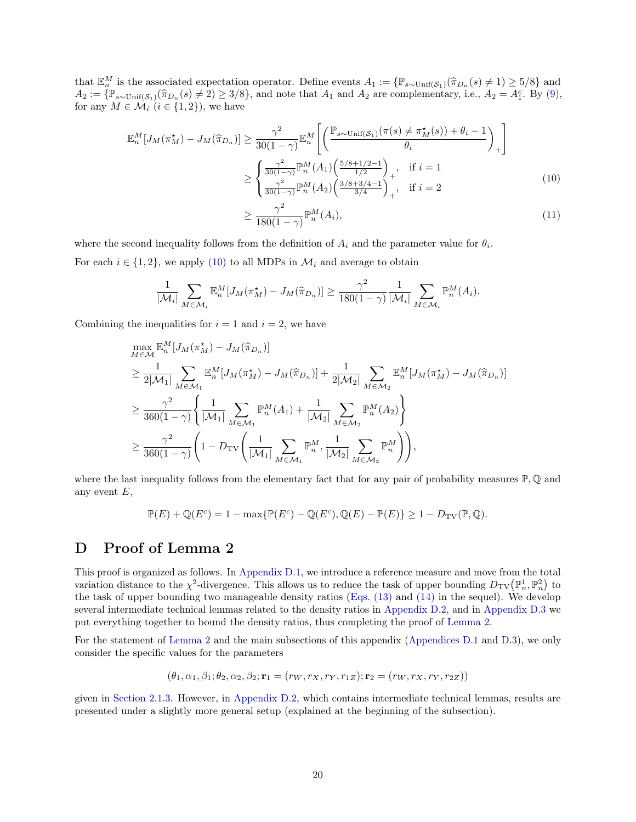that  $\mathbb{E}_n^M$  is the associated expectation operator. Define events  $A_1 := \{ \mathbb{P}_{s \sim \text{Unif}(\mathcal{S}_1)}(\hat{\pi}_{D_n}(s) \neq 1) \geq 5/8 \}$  and  $A_2 := \{ \mathbb{P}_{s \sim \text{Unif}(\mathcal{S}_1)}(\hat{\pi}_{D_n}(s) \neq 1) \geq 5/8 \}$  and  $A_3 := \{ \mathbb{P}_{s \sim \text{Unif}(\mathcal{S}_$  $A_2 := \{\mathbb{P}_{s \sim \text{Unif}(\mathcal{S}_1)}(\hat{\pi}_{D_n}(s) \neq 2) \geq 3/8\},\$ and note that  $A_1$  and  $A_2$  are complementary, i.e.,  $A_2 = A_1^c$ . By [\(9\),](#page-18-1) for any  $M \in \mathcal{M}$ ,  $(i \in [1, 2])$  we have for any  $M \in \mathcal{M}_i$   $(i \in \{1,2\})$ , we have

$$
\mathbb{E}_{n}^{M}[J_{M}(\pi_{M}^{\star}) - J_{M}(\hat{\pi}_{D_{n}})] \geq \frac{\gamma^{2}}{30(1-\gamma)} \mathbb{E}_{n}^{M} \left[ \left( \frac{\mathbb{P}_{s \sim \text{Unif}(\mathcal{S}_{1})}(\pi(s) \neq \pi_{M}^{\star}(s)) + \theta_{i} - 1}{\theta_{i}} \right)_{+} \right] \geq \begin{cases} \frac{\gamma^{2}}{30(1-\gamma)} \mathbb{P}_{n}^{M}(A_{1}) \left( \frac{5/8 + 1/2 - 1}{1/2} \right)_{+}, & \text{if } i = 1 \\ \frac{\gamma^{2}}{30(1-\gamma)} \mathbb{P}_{n}^{M}(A_{2}) \left( \frac{3/8 + 3/4 - 1}{3/4} \right)_{+}, & \text{if } i = 2 \end{cases}
$$
(10)

<span id="page-19-1"></span>
$$
\geq \frac{\gamma^2}{180(1-\gamma)} \mathbb{P}_n^M(A_i),\tag{11}
$$

where the second inequality follows from the definition of  $A_i$  and the parameter value for  $\theta_i$ . For each  $i \in \{1, 2\}$ , we apply [\(10\)](#page-19-1) to all MDPs in  $\mathcal{M}_i$  and average to obtain

$$
\frac{1}{|\mathcal{M}_i|} \sum_{M \in \mathcal{M}_i} \mathbb{E}_n^M [J_M(\pi_M^*) - J_M(\hat{\pi}_{D_n})] \ge \frac{\gamma^2}{180(1-\gamma)} \frac{1}{|\mathcal{M}_i|} \sum_{M \in \mathcal{M}_i} \mathbb{P}_n^M(A_i).
$$

Combining the inequalities for  $i = 1$  and  $i = 2$ , we have

 $\overline{M}$ 

$$
\max_{M \in \mathcal{M}} \mathbb{E}_{n}^{M}[J_{M}(\pi_{M}^{\star}) - J_{M}(\hat{\pi}_{D_{n}})]
$$
\n
$$
\geq \frac{1}{2|\mathcal{M}_{1}|} \sum_{M \in \mathcal{M}_{1}} \mathbb{E}_{n}^{M}[J_{M}(\pi_{M}^{\star}) - J_{M}(\hat{\pi}_{D_{n}})] + \frac{1}{2|\mathcal{M}_{2}|} \sum_{M \in \mathcal{M}_{2}} \mathbb{E}_{n}^{M}[J_{M}(\pi_{M}^{\star}) - J_{M}(\hat{\pi}_{D_{n}})]
$$
\n
$$
\geq \frac{\gamma^{2}}{360(1-\gamma)} \left\{ \frac{1}{|\mathcal{M}_{1}|} \sum_{M \in \mathcal{M}_{1}} \mathbb{P}_{n}^{M}(A_{1}) + \frac{1}{|\mathcal{M}_{2}|} \sum_{M \in \mathcal{M}_{2}} \mathbb{P}_{n}^{M}(A_{2}) \right\}
$$
\n
$$
\geq \frac{\gamma^{2}}{360(1-\gamma)} \left( 1 - D_{\text{TV}} \left( \frac{1}{|\mathcal{M}_{1}|} \sum_{M \in \mathcal{M}_{1}} \mathbb{P}_{n}^{M}, \frac{1}{|\mathcal{M}_{2}|} \sum_{M \in \mathcal{M}_{2}} \mathbb{P}_{n}^{M} \right) \right),
$$

where the last inequality follows from the elementary fact that for any pair of probability measures  $\mathbb{P},\mathbb{Q}$  and any event  $E$ ,

$$
\mathbb{P}(E) + \mathbb{Q}(E^c) = 1 - \max{\{\mathbb{P}(E^c) - \mathbb{Q}(E^c), \mathbb{Q}(E) - \mathbb{P}(E)\}} \ge 1 - D_{\text{TV}}(\mathbb{P}, \mathbb{Q}).
$$

# <span id="page-19-0"></span>D Proof of Lemma 2

This proof is organized as follows. In [Appendix D.1,](#page-20-0) we introduce a reference measure and move from the total variation distance to the  $\chi^2$ -divergence. This allows us to reduce the task of upper bounding  $D_{\rm TV}(\mathbb{P}^1_n, \mathbb{P}^2_n)$  to the task of upper bounding two manageable density ratios [\(Eqs. \(13\)](#page-21-0) and [\(14\)](#page-21-1) in the sequel). We develop several intermediate technical lemmas related to the density ratios in [Appendix D.2,](#page-21-2) and in [Appendix D.3](#page-24-0) we put everything together to bound the density ratios, thus completing the proof of [Lemma 2.](#page-10-0)

For the statement of [Lemma 2](#page-10-0) and the main subsections of this appendix [\(Appendices D.1](#page-20-0) and [D.3\)](#page-24-0), we only consider the specific values for the parameters

$$
(\theta_1, \alpha_1, \beta_1; \theta_2, \alpha_2, \beta_2; \mathbf{r}_1 = (r_W, r_X, r_Y, r_{1Z}); \mathbf{r}_2 = (r_W, r_X, r_Y, r_{2Z}))
$$

given in [Section 2.1.3.](#page-7-0) However, in [Appendix D.2,](#page-21-2) which contains intermediate technical lemmas, results are presented under a slightly more general setup (explained at the beginning of the subsection).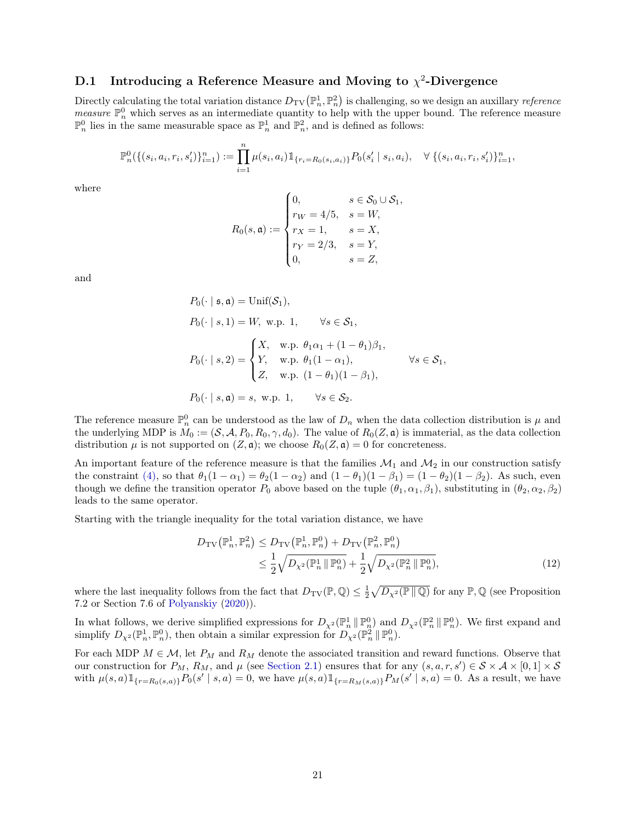## <span id="page-20-0"></span>D.1 Introducing a Reference Measure and Moving to  $\chi^2$ -Divergence

Directly calculating the total variation distance  $D_{\text{TV}}(\mathbb{P}^1_n, \mathbb{P}^2_n)$  is challenging, so we design an auxillary *reference measure*  $\mathbb{P}_n^0$  which serves as an intermediate quantity to help with the upper bound. The reference measure  $\mathbb{P}_n^0$  lies in the same measurable space as  $\mathbb{P}_n^1$  and  $\mathbb{P}_n^2$ , and is defined as follows:

$$
\mathbb{P}_n^0(\{(s_i, a_i, r_i, s'_i)\}_{i=1}^n) := \prod_{i=1}^n \mu(s_i, a_i) \mathbb{1}_{\{r_i = R_0(s_i, a_i)\}} P_0(s'_i \mid s_i, a_i), \quad \forall \{ (s_i, a_i, r_i, s'_i)\}_{i=1}^n,
$$

where

$$
R_0(s, \mathfrak{a}) := \begin{cases} 0, & s \in \mathcal{S}_0 \cup \mathcal{S}_1, \\ r_W = 4/5, & s = W, \\ r_X = 1, & s = X, \\ r_Y = 2/3, & s = Y, \\ 0, & s = Z, \end{cases}
$$

and

$$
P_0(\cdot \mid \mathfrak{s}, \mathfrak{a}) = \text{Unif}(\mathcal{S}_1),
$$
  
\n
$$
P_0(\cdot \mid s, 1) = W, \text{ w.p. 1}, \qquad \forall s \in \mathcal{S}_1,
$$
  
\n
$$
P_0(\cdot \mid s, 2) = \begin{cases} X, & \text{w.p. } \theta_1 \alpha_1 + (1 - \theta_1)\beta_1, \\ Y, & \text{w.p. } \theta_1 (1 - \alpha_1), \\ Z, & \text{w.p. } (1 - \theta_1)(1 - \beta_1), \end{cases} \qquad \forall s \in \mathcal{S}_1,
$$
  
\n
$$
P_0(\cdot \mid s, \mathfrak{a}) = s, \text{ w.p. 1}, \qquad \forall s \in \mathcal{S}_2.
$$

The reference measure  $\mathbb{P}_n^0$  can be understood as the law of  $D_n$  when the data collection distribution is  $\mu$  and the underlying MDP is  $M_0 := (\mathcal{S}, \mathcal{A}, P_0, R_0, \gamma, d_0)$ . The value of  $R_0(Z, \mathfrak{a})$  is immaterial, as the data collection distribution  $\mu$  is not supported on  $(Z, \mathfrak{a})$ ; we choose  $R_0(Z, \mathfrak{a}) = 0$  for concreteness.

An important feature of the reference measure is that the families  $\mathcal{M}_1$  and  $\mathcal{M}_2$  in our construction satisfy the constraint [\(4\),](#page-16-1) so that  $\theta_1(1 - \alpha_1) = \theta_2(1 - \alpha_2)$  and  $(1 - \theta_1)(1 - \beta_1) = (1 - \theta_2)(1 - \beta_2)$ . As such, even though we define the transition operator  $P_0$  above based on the tuple  $(\theta_1, \alpha_1, \beta_1)$ , substituting in  $(\theta_2, \alpha_2, \beta_2)$ leads to the same operator.

Starting with the triangle inequality for the total variation distance, we have

<span id="page-20-1"></span>
$$
D_{\rm TV}\left(\mathbb{P}_n^1, \mathbb{P}_n^2\right) \le D_{\rm TV}\left(\mathbb{P}_n^1, \mathbb{P}_n^0\right) + D_{\rm TV}\left(\mathbb{P}_n^2, \mathbb{P}_n^0\right) \le \frac{1}{2} \sqrt{D_{\chi^2}\left(\mathbb{P}_n^1 \|\mathbb{P}_n^0\right)} + \frac{1}{2} \sqrt{D_{\chi^2}\left(\mathbb{P}_n^2 \|\mathbb{P}_n^0\right)},
$$
\n(12)

where the last inequality follows from the fact that  $D_{\text{TV}}(\mathbb{P}, \mathbb{Q}) \leq \frac{1}{2} \sqrt{D_{\chi^2}(\mathbb{P} \|\mathbb{Q})}$  for any  $\mathbb{P}, \mathbb{Q}$  (see Proposition 7.2 or Section 7.6 of [Polyanskiy](#page-14-19) [\(2020\)](#page-14-19)).

In what follows, we derive simplified expressions for  $D_{\chi^2}(\mathbb{P}_n^1 \|\mathbb{P}_n^0)$  and  $D_{\chi^2}(\mathbb{P}_n^2 \|\mathbb{P}_n^0)$ . We first expand and simplify  $D_{\chi^2}(\mathbb{P}_n^1, \mathbb{P}_n^0)$ , then obtain a similar expression for  $D_{\chi^2}(\mathbb{P}_n^2 | \mathbb{P}_n^0)$ .

For each MDP  $M \in \mathcal{M}$ , let  $P_M$  and  $R_M$  denote the associated transition and reward functions. Observe that our construction for  $P_M$ ,  $R_M$ , and  $\mu$  (see [Section 2.1\)](#page-5-2) ensures that for any  $(s, a, r, s') \in S \times A \times [0, 1] \times S$ with  $\mu(s,a) 1\!\!1_{\{r=R_0(s,a)\}}P_0(s' \mid s,a) = 0$ , we have  $\mu(s,a) 1\!\!1_{\{r=R_M(s,a)\}}P_M(s' \mid s,a) = 0$ . As a result, we have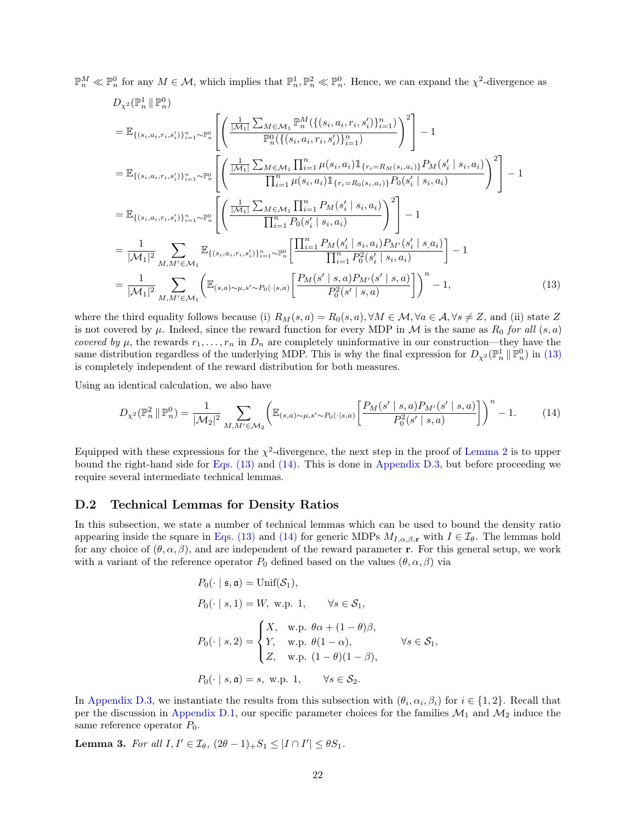$\mathbb{P}_n^M \ll \mathbb{P}_n^0$  for any  $M \in \mathcal{M}$ , which implies that  $\mathbb{P}_n^1, \mathbb{P}_n^2 \ll \mathbb{P}_n^0$ . Hence, we can expand the  $\chi^2$ -divergence as

$$
D_{\chi^{2}}(\mathbb{P}_{n}^{1} \| \mathbb{P}_{n}^{0})
$$
\n
$$
= \mathbb{E}_{\{(s_{i}, a_{i}, r_{i}, s_{i}^{\prime})\}_{i=1}^{n} \sim \mathbb{P}_{n}^{0}} \left[ \left( \frac{\frac{1}{|\mathcal{M}_{1}|} \sum_{M \in \mathcal{M}_{1}} \mathbb{P}_{n}^{M}(\{(s_{i}, a_{i}, r_{i}, s_{i}^{\prime})\}_{i=1}^{n})}{\mathbb{P}_{n}^{0}(\{(s_{i}, a_{i}, r_{i}, s_{i}^{\prime})\}_{i=1}^{n})} \right)^{2} \right] - 1
$$
\n
$$
= \mathbb{E}_{\{(s_{i}, a_{i}, r_{i}, s_{i}^{\prime})\}_{i=1}^{n} \sim \mathbb{P}_{n}^{0}} \left[ \left( \frac{\frac{1}{|\mathcal{M}_{1}|} \sum_{M \in \mathcal{M}_{1}} \prod_{i=1}^{n} \mu(s_{i}, a_{i}) \mathbb{1}_{\{r_{i} = R_{M}(s_{i}, a_{i})\}} P_{M}(s_{i}^{\prime} \mid s_{i}, a_{i})}{\prod_{i=1}^{n} \mu(s_{i}, a_{i}) \mathbb{1}_{\{r_{i} = R_{0}(s_{i}, a_{i})\}} P_{0}(s_{i}^{\prime} \mid s_{i}, a_{i})} \right)^{2} \right] - 1
$$
\n
$$
= \mathbb{E}_{\{(s_{i}, a_{i}, r_{i}, s_{i}^{\prime})\}_{i=1}^{n} \sim \mathbb{P}_{n}^{0}} \left[ \left( \frac{\frac{1}{|\mathcal{M}_{1}|} \sum_{M \in \mathcal{M}_{1}} \prod_{i=1}^{n} P_{M}(s_{i}^{\prime} \mid s_{i}, a_{i})}{\prod_{i=1}^{n} P_{0}(s_{i}^{\prime} \mid s_{i}, a_{i})} \right)^{2} \right] - 1
$$
\n
$$
= \frac{1}{|\mathcal{M}_{1}|^{2}} \sum_{M, M^{\prime} \in \mathcal{M}_{1}} \mathbb{E}_{\{(s_{i}, a_{i}, r_{i}, s_{i}^{\prime})\}_{i=1}^{n} \sim \mathbb{P}_{n}^{0}} \left[ \frac{\prod_{i=1}^{
$$

where the third equality follows because (i)  $R_M(s, a) = R_0(s, a), \forall M \in \mathcal{M}, \forall a \in \mathcal{A}, \forall s \neq Z$ , and (ii) state Z is not covered by  $\mu$ . Indeed, since the reward function for every MDP in M is the same as  $R_0$  for all  $(s, a)$ covered by  $\mu$ , the rewards  $r_1, \ldots, r_n$  in  $D_n$  are completely uninformative in our construction—they have the same distribution regardless of the underlying MDP. This is why the final expression for  $D_{\chi^2}(\mathbb{P}_n^1 \|\mathbb{P}_n^0)$  in [\(13\)](#page-21-0) is completely independent of the reward distribution for both measures.

Using an identical calculation, we also have

<span id="page-21-0"></span>
$$
D_{\chi^2}(\mathbb{P}_n^2 \|\mathbb{P}_n^0) = \frac{1}{|\mathcal{M}_2|^2} \sum_{M,M' \in \mathcal{M}_2} \left( \mathbb{E}_{(s,a) \sim \mu, s' \sim P_0(\cdot|s,a)} \left[ \frac{P_M(s' \mid s, a) P_{M'}(s' \mid s, a)}{P_0^2(s' \mid s, a)} \right] \right)^n - 1. \tag{14}
$$

Equipped with these expressions for the  $\chi^2$ -divergence, the next step in the proof of [Lemma 2](#page-10-0) is to upper bound the right-hand side for [Eqs. \(13\)](#page-21-0) and [\(14\).](#page-21-1) This is done in [Appendix D.3,](#page-24-0) but before proceeding we require several intermediate technical lemmas.

#### <span id="page-21-2"></span>D.2 Technical Lemmas for Density Ratios

In this subsection, we state a number of technical lemmas which can be used to bound the density ratio appearing inside the square in [Eqs. \(13\)](#page-21-0) and [\(14\)](#page-21-1) for generic MDPs  $M_{I,\alpha,\beta,r}$  with  $I \in \mathcal{I}_{\theta}$ . The lemmas hold for any choice of  $(\theta, \alpha, \beta)$ , and are independent of the reward parameter **r**. For this general setup, we work with a variant of the reference operator  $P_0$  defined based on the values  $(\theta, \alpha, \beta)$  via

<span id="page-21-1"></span>
$$
P_0(\cdot \mid \mathfrak{s}, \mathfrak{a}) = \text{Unif}(\mathcal{S}_1),
$$
  
\n
$$
P_0(\cdot \mid s, 1) = W, \text{ w.p. } 1, \qquad \forall s \in \mathcal{S}_1,
$$
  
\n
$$
P_0(\cdot \mid s, 2) = \begin{cases} X, & \text{w.p. } \theta \alpha + (1 - \theta)\beta, \\ Y, & \text{w.p. } \theta(1 - \alpha), \\ Z, & \text{w.p. } (1 - \theta)(1 - \beta), \end{cases} \qquad \forall s \in \mathcal{S}_1,
$$
  
\n
$$
P_0(\cdot \mid s, \mathfrak{a}) = s, \text{ w.p. } 1, \qquad \forall s \in \mathcal{S}_2.
$$

In [Appendix D.3,](#page-24-0) we instantiate the results from this subsection with  $(\theta_i, \alpha_i, \beta_i)$  for  $i \in \{1, 2\}$ . Recall that per the discussion in [Appendix D.1,](#page-20-0) our specific parameter choices for the families  $\mathcal{M}_1$  and  $\mathcal{M}_2$  induce the same reference operator  $P_0$ .

<span id="page-21-3"></span>Lemma 3. For all  $I, I' \in I_{\theta}$ ,  $(2\theta - 1)_{+}S_1 \leq |I \cap I'| \leq \theta S_1$ .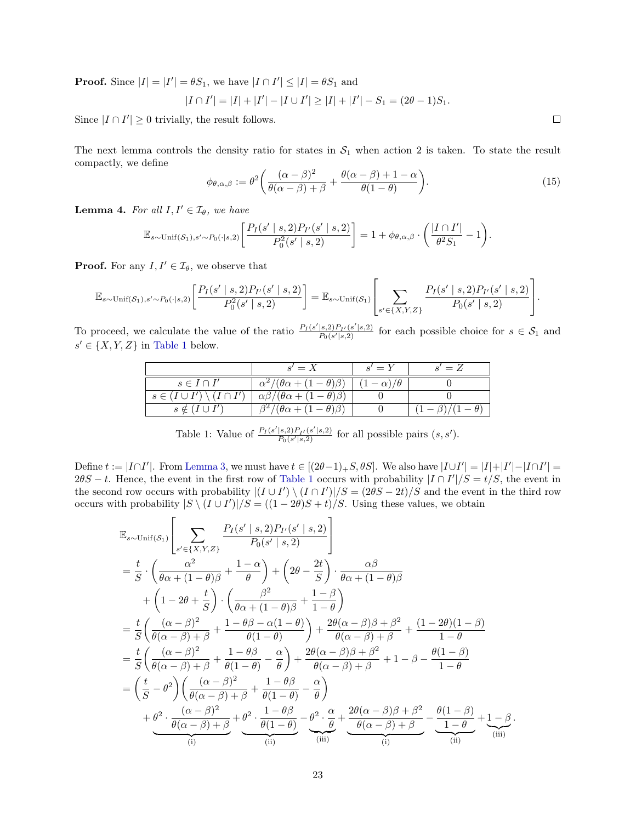**Proof.** Since  $|I| = |I'| = \theta S_1$ , we have  $|I \cap I'| \leq |I| = \theta S_1$  and

$$
|I \cap I'| = |I| + |I'| - |I \cup I'| \ge |I| + |I'| - S_1 = (2\theta - 1)S_1.
$$

Since  $|I \cap I'| \geq 0$  trivially, the result follows.

The next lemma controls the density ratio for states in  $S_1$  when action 2 is taken. To state the result compactly, we define

$$
\phi_{\theta,\alpha,\beta} := \theta^2 \left( \frac{(\alpha - \beta)^2}{\theta(\alpha - \beta) + \beta} + \frac{\theta(\alpha - \beta) + 1 - \alpha}{\theta(1 - \theta)} \right). \tag{15}
$$

<span id="page-22-1"></span>**Lemma 4.** For all  $I, I' \in \mathcal{I}_{\theta}$ , we have

$$
\mathbb{E}_{s\sim \text{Unif}(\mathcal{S}_1),s'\sim P_0(\cdot|s,2)} \bigg[ \frac{P_I(s'\mid s,2)P_{I'}(s'\mid s,2)}{P_0^2(s'\mid s,2)} \bigg] = 1 + \phi_{\theta,\alpha,\beta} \cdot \bigg( \frac{|I \cap I'|}{\theta^2 S_1} - 1 \bigg).
$$

**Proof.** For any  $I, I' \in \mathcal{I}_{\theta}$ , we observe that

$$
\mathbb{E}_{s \sim \text{Unif}(\mathcal{S}_1), s' \sim P_0(\cdot | s, 2)} \left[ \frac{P_I(s' \mid s, 2) P_{I'}(s' \mid s, 2)}{P_0^2(s' \mid s, 2)} \right] = \mathbb{E}_{s \sim \text{Unif}(\mathcal{S}_1)} \left[ \sum_{s' \in \{X, Y, Z\}} \frac{P_I(s' \mid s, 2) P_{I'}(s' \mid s, 2)}{P_0(s' \mid s, 2)} \right].
$$

<span id="page-22-0"></span>To proceed, we calculate the value of the ratio  $\frac{P_I(s'|s,2)P_{I'}(s'|s,2)}{P_I(s'|s,2)}$  $P_0(s'|s, 2)$  for each possible choice for  $s \in S_1$  and  $s' \in \{X, Y, Z\}$  in [Table 1](#page-22-0) below.

|                                           | $s' = X$                                     | $s' = Y$           | $s' = Z$ |
|-------------------------------------------|----------------------------------------------|--------------------|----------|
| $s \in I \cap I'$                         | $\alpha^2/(\theta \alpha + (1-\theta)\beta)$ | $(-\alpha)/\theta$ |          |
| $s \in (I \cup I') \setminus (I \cap I')$ | $\alpha\beta/(\theta\alpha+(1-\theta)\beta)$ |                    |          |
| $s \notin (I \cup I')$                    | $\beta^2/(\theta\alpha + ($                  |                    |          |

Table 1: Value of  $\frac{P_I(s'|s,2)P_{I'}(s'|s,2)}{P_{\alpha}(s'|s,2)}$  $\frac{|s,2)P_{I'}(s'|s,2)}{P_0(s'|s,2)}$  for all possible pairs  $(s, s')$ .

Define  $t := |I \cap I'|$ . From [Lemma 3,](#page-21-3) we must have  $t \in [(2\theta-1)_+S, \theta S]$ . We also have  $|I \cup I'| = |I| + |I'| - |I \cap I'|$  $2\theta S - t$ . Hence, the event in the first row of [Table 1](#page-22-0) occurs with probability  $|I \cap I'|/S = t/S$ , the event in the second row occurs with probability  $|(I \cup I') \setminus (I \cap I')|/S = (2\theta S - 2t)/S$  and the event in the third row occurs with probability  $|S \setminus (I \cup I')|/S = ((1 - 2\theta)S + t)/S$ . Using these values, we obtain

$$
\mathbb{E}_{s \sim \text{Unif}(\mathcal{S}_1)} \left[ \sum_{s' \in \{X, Y, Z\}} \frac{P_I(s' \mid s, 2) P_{I'}(s' \mid s, 2)}{P_0(s' \mid s, 2)} \right]
$$
\n
$$
= \frac{t}{S} \cdot \left( \frac{\alpha^2}{\theta \alpha + (1 - \theta)\beta} + \frac{1 - \alpha}{\theta} \right) + \left( 2\theta - \frac{2t}{S} \right) \cdot \frac{\alpha \beta}{\theta \alpha + (1 - \theta)\beta}
$$
\n
$$
+ \left( 1 - 2\theta + \frac{t}{S} \right) \cdot \left( \frac{\beta^2}{\theta \alpha + (1 - \theta)\beta} + \frac{1 - \beta}{1 - \theta} \right)
$$
\n
$$
= \frac{t}{S} \left( \frac{(\alpha - \beta)^2}{\theta(\alpha - \beta) + \beta} + \frac{1 - \theta \beta - \alpha(1 - \theta)}{\theta(1 - \theta)} \right) + \frac{2\theta(\alpha - \beta)\beta + \beta^2}{\theta(\alpha - \beta) + \beta} + \frac{(1 - 2\theta)(1 - \beta)}{1 - \theta}
$$
\n
$$
= \frac{t}{S} \left( \frac{(\alpha - \beta)^2}{\theta(\alpha - \beta) + \beta} + \frac{1 - \theta \beta}{\theta(1 - \theta)} - \frac{\alpha}{\theta} \right) + \frac{2\theta(\alpha - \beta)\beta + \beta^2}{\theta(\alpha - \beta) + \beta} + 1 - \beta - \frac{\theta(1 - \beta)}{1 - \theta}
$$
\n
$$
= \left( \frac{t}{S} - \theta^2 \right) \left( \frac{(\alpha - \beta)^2}{\theta(\alpha - \beta) + \beta} + \frac{1 - \theta \beta}{\theta(1 - \theta)} - \frac{\alpha}{\theta} \right)
$$
\n
$$
+ \frac{\theta^2 \cdot \frac{(\alpha - \beta)^2}{\theta(\alpha - \beta) + \beta}}{(\alpha - \beta)^2} + \frac{\theta^2 \cdot \frac{1 - \theta \beta}{\theta(1 - \theta)}}{(\alpha - \beta)} - \frac{\theta^2 \cdot \frac{\alpha}{\theta}}{(\alpha - \beta)^2} + \frac{2\theta(\alpha - \beta)\beta + \beta^2}{(\alpha - \beta)^2} - \frac{\theta(1 - \beta)}{(\alpha + \beta)^2} + \frac
$$

 $\Box$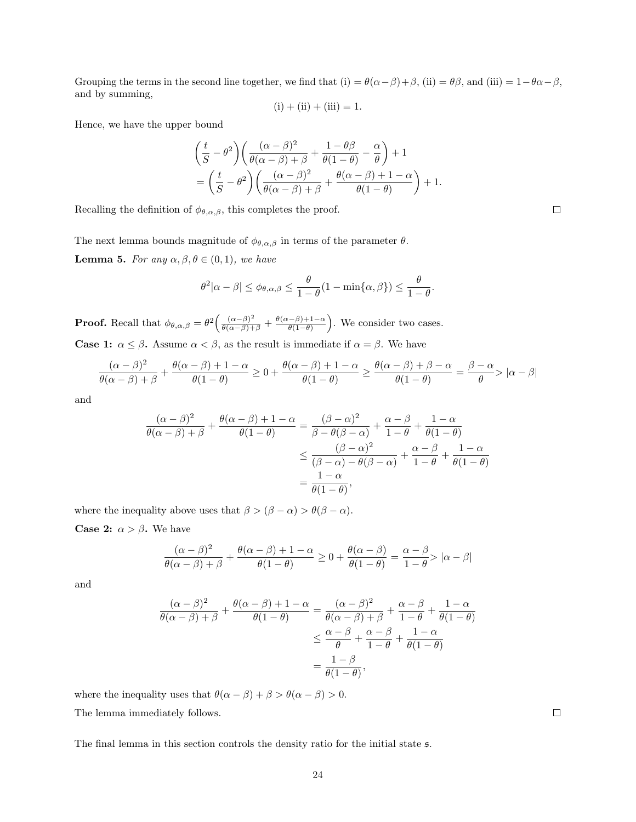Grouping the terms in the second line together, we find that (i) =  $\theta(\alpha-\beta)+\beta$ , (ii) =  $\theta\beta$ , and (iii) =  $1-\theta\alpha-\beta$ , and by summing,

$$
(i) + (ii) + (iii) = 1.
$$

Hence, we have the upper bound

$$
\left(\frac{t}{S} - \theta^2\right) \left(\frac{(\alpha - \beta)^2}{\theta(\alpha - \beta) + \beta} + \frac{1 - \theta\beta}{\theta(1 - \theta)} - \frac{\alpha}{\theta}\right) + 1
$$
  
= 
$$
\left(\frac{t}{S} - \theta^2\right) \left(\frac{(\alpha - \beta)^2}{\theta(\alpha - \beta) + \beta} + \frac{\theta(\alpha - \beta) + 1 - \alpha}{\theta(1 - \theta)}\right) + 1.
$$

Recalling the definition of  $\phi_{\theta,\alpha,\beta}$ , this completes the proof.

<span id="page-23-1"></span>The next lemma bounds magnitude of  $\phi_{\theta,\alpha,\beta}$  in terms of the parameter  $\theta$ . **Lemma 5.** For any  $\alpha, \beta, \theta \in (0, 1)$ , we have

$$
\theta^2|\alpha-\beta| \leq \phi_{\theta,\alpha,\beta} \leq \frac{\theta}{1-\theta}(1-\min\{\alpha,\beta\}) \leq \frac{\theta}{1-\theta}.
$$

**Proof.** Recall that  $\phi_{\theta,\alpha,\beta} = \theta^2 \left( \frac{(\alpha-\beta)^2}{\theta(\alpha-\beta)+\beta} + \frac{\theta(\alpha-\beta)+1-\alpha}{\theta(1-\theta)} \right)$  $\left(\frac{(-\beta)+1-\alpha}{\theta(1-\theta)}\right)$ . We consider two cases. **Case 1:**  $\alpha \leq \beta$ . Assume  $\alpha < \beta$ , as the result is immediate if  $\alpha = \beta$ . We have

$$
\frac{(\alpha-\beta)^2}{\theta(\alpha-\beta)+\beta}+\frac{\theta(\alpha-\beta)+1-\alpha}{\theta(1-\theta)}\geq 0+\frac{\theta(\alpha-\beta)+1-\alpha}{\theta(1-\theta)}\geq \frac{\theta(\alpha-\beta)+\beta-\alpha}{\theta(1-\theta)}=\frac{\beta-\alpha}{\theta}>|\alpha-\beta|
$$

and

$$
\frac{(\alpha - \beta)^2}{\theta(\alpha - \beta) + \beta} + \frac{\theta(\alpha - \beta) + 1 - \alpha}{\theta(1 - \theta)} = \frac{(\beta - \alpha)^2}{\beta - \theta(\beta - \alpha)} + \frac{\alpha - \beta}{1 - \theta} + \frac{1 - \alpha}{\theta(1 - \theta)}
$$

$$
\leq \frac{(\beta - \alpha)^2}{(\beta - \alpha) - \theta(\beta - \alpha)} + \frac{\alpha - \beta}{1 - \theta} + \frac{1 - \alpha}{\theta(1 - \theta)}
$$

$$
= \frac{1 - \alpha}{\theta(1 - \theta)},
$$

where the inequality above uses that  $\beta > (\beta - \alpha) > \theta(\beta - \alpha)$ .

**Case 2:**  $\alpha > \beta$ . We have

$$
\frac{(\alpha - \beta)^2}{\theta(\alpha - \beta) + \beta} + \frac{\theta(\alpha - \beta) + 1 - \alpha}{\theta(1 - \theta)} \ge 0 + \frac{\theta(\alpha - \beta)}{\theta(1 - \theta)} = \frac{\alpha - \beta}{1 - \theta} > |\alpha - \beta|
$$

and

$$
\frac{(\alpha - \beta)^2}{\theta(\alpha - \beta) + \beta} + \frac{\theta(\alpha - \beta) + 1 - \alpha}{\theta(1 - \theta)} = \frac{(\alpha - \beta)^2}{\theta(\alpha - \beta) + \beta} + \frac{\alpha - \beta}{1 - \theta} + \frac{1 - \alpha}{\theta(1 - \theta)}
$$

$$
\leq \frac{\alpha - \beta}{\theta} + \frac{\alpha - \beta}{1 - \theta} + \frac{1 - \alpha}{\theta(1 - \theta)}
$$

$$
= \frac{1 - \beta}{\theta(1 - \theta)},
$$

where the inequality uses that  $\theta(\alpha - \beta) + \beta > \theta(\alpha - \beta) > 0.$ The lemma immediately follows.

<span id="page-23-0"></span>The final lemma in this section controls the density ratio for the initial state s.

 $\Box$ 

 $\Box$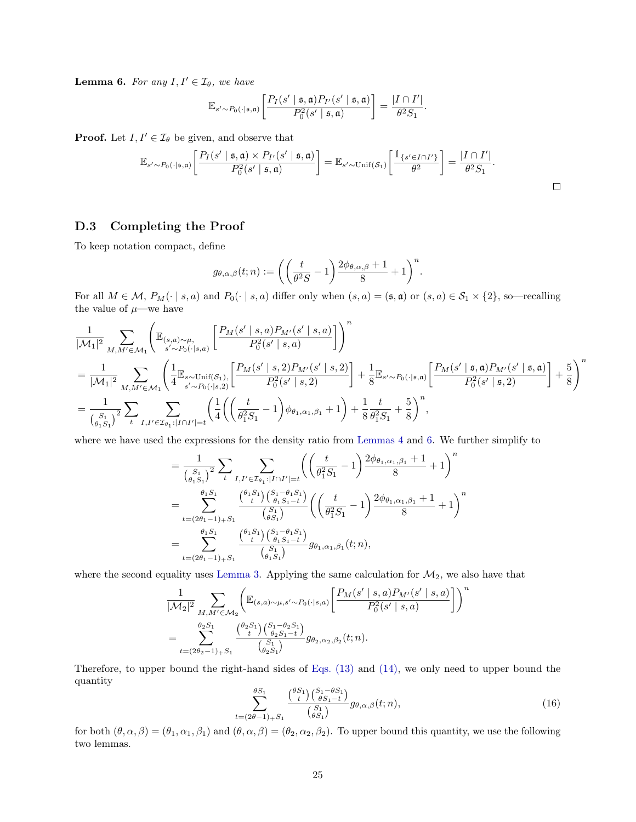**Lemma 6.** For any  $I, I' \in \mathcal{I}_{\theta}$ , we have

$$
\mathbb{E}_{s' \sim P_0(\cdot | \mathfrak{s}, \mathfrak{a})} \bigg[ \frac{P_I(s' | \mathfrak{s}, \mathfrak{a}) P_{I'}(s' | \mathfrak{s}, \mathfrak{a})}{P_0^2(s' | \mathfrak{s}, \mathfrak{a})} \bigg] = \frac{|I \cap I'|}{\theta^2 S_1}.
$$

**Proof.** Let  $I, I' \in \mathcal{I}_{\theta}$  be given, and observe that

$$
\mathbb{E}_{s' \sim P_0(\cdot | \mathfrak{s}, \mathfrak{a})} \bigg[ \frac{P_I(s' | \mathfrak{s}, \mathfrak{a}) \times P_{I'}(s' | \mathfrak{s}, \mathfrak{a})}{P_0^2(s' | \mathfrak{s}, \mathfrak{a})} \bigg] = \mathbb{E}_{s' \sim \text{Unif}(\mathcal{S}_1)} \bigg[ \frac{\mathbb{1}_{\{s' \in I \cap I'\}}}{\theta^2} \bigg] = \frac{|I \cap I'|}{\theta^2 S_1}.
$$

### <span id="page-24-0"></span>D.3 Completing the Proof

To keep notation compact, define

$$
g_{\theta,\alpha,\beta}(t;n):=\bigg(\bigg(\frac{t}{\theta^2S}-1\bigg)\frac{2\phi_{\theta,\alpha,\beta}+1}{8}+1\bigg)^n.
$$

For all  $M \in \mathcal{M}$ ,  $P_M(\cdot | s, a)$  and  $P_0(\cdot | s, a)$  differ only when  $(s, a) = (\mathfrak{s}, \mathfrak{a})$  or  $(s, a) \in \mathcal{S}_1 \times \{2\}$ , so—recalling the value of  $\mu$ —we have

$$
\begin{split} &\frac{1}{|\mathcal{M}_{1}|^{2}}\sum_{M,M'\in \mathcal{M}_{1}}\Bigg(\mathbb{E}_{(s,a)\sim\mu,} \left[\frac{P_{M}(s'\mid s,a)P_{M'}(s'\mid s,a)}{P_{0}^{2}(s'\mid s,a)}\right]\Bigg)^{n} \\ &=\frac{1}{|\mathcal{M}_{1}|^{2}}\sum_{M,M'\in \mathcal{M}_{1}}\Bigg(\frac{1}{4}\mathbb{E}_{s\sim\text{Unif}(\mathcal{S}_{1}),} \left[\frac{P_{M}(s'\mid s,2)P_{M'}(s'\mid s,2)}{P_{0}^{2}(s'\mid s,2)}\right]+\frac{1}{8}\mathbb{E}_{s'\sim P_{0}(\cdot|s,\mathfrak{a})}\bigg[\frac{P_{M}(s'\mid s,\mathfrak{a})P_{M'}(s'\mid s,\mathfrak{a})}{P_{0}^{2}(s'\mid s,2)}\bigg]+\frac{1}{8}\mathbb{E}_{s'\sim P_{0}(\cdot|s,\mathfrak{a})}\bigg[\frac{P_{M}(s'\mid s,\mathfrak{a})P_{M'}(s'\mid s,\mathfrak{a})}{P_{0}^{2}(s'\mid s,2)}\bigg]+\frac{5}{8}\Bigg)^{n} \\ &=\frac{1}{\binom{S_{1}}{s_{1}}^{2}}\sum_{t}\sum_{I,I'\in \mathcal{I}_{\theta_{1}};|I\cap I'|=t}\bigg(\frac{1}{4}\bigg(\bigg(\frac{t}{\theta_{1}^{2}S_{1}}-1\bigg)\phi_{\theta_{1},\alpha_{1},\beta_{1}}+1\bigg)+\frac{1}{8}\frac{t}{\theta_{1}^{2}S_{1}}+\frac{5}{8}\bigg)^{n}, \end{split}
$$

where we have used the expressions for the density ratio from [Lemmas 4](#page-22-1) and [6.](#page-23-0) We further simplify to

$$
\begin{split} & = \frac{1}{\binom{S_1}{\theta_1 S_1}^2} \sum_t \sum_{I, I' \in \mathcal{I}_{\theta_1}: |I \cap I'| = t} \left( \left( \frac{t}{\theta_1^2 S_1} - 1 \right) \frac{2\phi_{\theta_1, \alpha_1, \beta_1} + 1}{8} + 1 \right)^n \\ & = \sum_{t = (2\theta_1 - 1)_+ S_1}^{\theta_1 S_1} \frac{\binom{\theta_1 S_1}{t} \binom{S_1 - \theta_1 S_1}{\theta_1 S_1 - t}}{\binom{S_1}{\theta_1 S_1}} \left( \left( \frac{t}{\theta_1^2 S_1} - 1 \right) \frac{2\phi_{\theta_1, \alpha_1, \beta_1} + 1}{8} + 1 \right)^n \\ & = \sum_{t = (2\theta_1 - 1)_+ S_1}^{\theta_1 S_1} \frac{\binom{\theta_1 S_1}{t} \binom{S_1 - \theta_1 S_1}{\theta_1 S_1}}{\binom{S_1}{\theta_1 S_1}} g_{\theta_1, \alpha_1, \beta_1}(t; n), \end{split}
$$

where the second equality uses [Lemma 3.](#page-21-3) Applying the same calculation for  $\mathcal{M}_2$ , we also have that

$$
\label{eq:20} \begin{split} &\frac{1}{|\mathcal{M}_2|^2}\sum_{M,M'\in \mathcal{M}_2}\Bigg(\mathbb{E}_{(s,a)\sim \mu,s'\sim P_0(\cdot|s,a)}\bigg[\frac{P_M(s'\mid s,a)P_{M'}(s'\mid s,a)}{P_0^2(s'\mid s,a)}\bigg]\Bigg)^n\\ &=\sum_{t=(2\theta_2-1)+S_1}^{\theta_2S_1}\frac{\binom{\theta_2S_1}{t}\binom{S_1-\theta_2S_1}{\theta_2S_1-t}}{\binom{S_1}{\theta_2S_1}}g_{\theta_2,\alpha_2,\beta_2}(t;n). \end{split}
$$

<span id="page-24-1"></span>Therefore, to upper bound the right-hand sides of [Eqs. \(13\)](#page-21-0) and [\(14\),](#page-21-1) we only need to upper bound the quantity

$$
\sum_{t=(2\theta-1)+S_1}^{\theta S_1} \frac{\binom{\theta S_1}{t}\binom{S_1-\theta S_1}{\theta S_1-t}}{\binom{S_1}{\theta S_1}} g_{\theta,\alpha,\beta}(t;n),\tag{16}
$$

<span id="page-24-2"></span>for both  $(\theta, \alpha, \beta) = (\theta_1, \alpha_1, \beta_1)$  and  $(\theta, \alpha, \beta) = (\theta_2, \alpha_2, \beta_2)$ . To upper bound this quantity, we use the following two lemmas.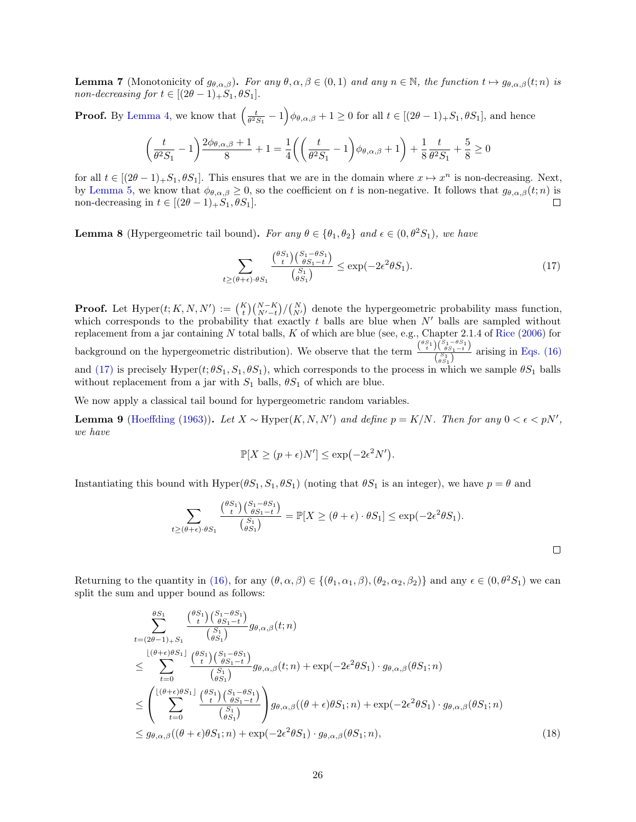**Lemma 7** (Monotonicity of  $g_{\theta,\alpha,\beta}$ ). For any  $\theta,\alpha,\beta \in (0,1)$  and any  $n \in \mathbb{N}$ , the function  $t \mapsto g_{\theta,\alpha,\beta}(t; n)$  is non-decreasing for  $t \in [(2\theta - 1)_{+}S_1, \theta S_1].$ 

**Proof.** By [Lemma 4,](#page-22-1) we know that  $\left(\frac{t}{\theta^2 S_1} - 1\right) \phi_{\theta,\alpha,\beta} + 1 \geq 0$  for all  $t \in [(2\theta - 1) + S_1, \theta S_1]$ , and hence

$$
\left(\frac{t}{\theta^2S_1}-1\right)\frac{2\phi_{\theta,\alpha,\beta}+1}{8}+1=\frac{1}{4}\bigg(\bigg(\frac{t}{\theta^2S_1}-1\bigg)\phi_{\theta,\alpha,\beta}+1\bigg)+\frac{1}{8}\frac{t}{\theta^2S_1}+\frac{5}{8}\geq 0
$$

for all  $t \in [(2\theta - 1)_+ S_1, \theta S_1]$ . This ensures that we are in the domain where  $x \mapsto x^n$  is non-decreasing. Next, by [Lemma 5,](#page-23-1) we know that  $\phi_{\theta,\alpha,\beta} \geq 0$ , so the coefficient on t is non-negative. It follows that  $g_{\theta,\alpha,\beta}(t; n)$  is non-decreasing in  $t \in [(2\theta - 1)_{+}S_1, \theta S_1].$  $\Box$ 

<span id="page-25-1"></span>**Lemma 8** (Hypergeometric tail bound). For any  $\theta \in {\theta_1, \theta_2}$  and  $\epsilon \in (0, \theta^2 S_1)$ , we have

$$
\sum_{t \ge (\theta + \epsilon) \cdot \theta S_1} \frac{\binom{\theta S_1}{t} \binom{S_1 - \theta S_1}{\theta S_1 - t}}{\binom{S_1}{\theta S_1}} \le \exp(-2\epsilon^2 \theta S_1). \tag{17}
$$

**Proof.** Let  $\text{Hyper}(t; K, N, N') := {K \choose t} {N-K \choose N'-t} / {N \choose N'}$  denote the hypergeometric probability mass function, which corresponds to the probability that exactly t balls are blue when  $N'$  balls are sampled without replacement from a jar containing N total balls, K of which are blue (see, e.g., Chapter 2.1.4 of [Rice](#page-14-20) [\(2006\)](#page-14-20) for background on the hypergeometric distribution). We observe that the term  $\frac{\binom{\theta S_1}{t}\binom{S_1-\theta S_1}{\theta S_1-t}}{\binom{S_1}{t}}$  $\frac{\binom{S}{s_1}}{\binom{S_1}{\theta S_1}}$  arising in [Eqs. \(16\)](#page-24-1) and [\(17\)](#page-25-0) is precisely Hyper $(t; \theta S_1, S_1, \theta S_1)$ , which corresponds to the process in which we sample  $\theta S_1$  balls without replacement from a jar with  $S_1$  balls,  $\theta S_1$  of which are blue.

We now apply a classical tail bound for hypergeometric random variables.

**Lemma 9** [\(Hoeffding](#page-13-18) [\(1963\)](#page-13-18)). Let  $X \sim \text{Hyper}(K, N, N')$  and define  $p = K/N$ . Then for any  $0 < \epsilon < pN'$ , we have

$$
\mathbb{P}[X \ge (p + \epsilon)N'] \le \exp(-2\epsilon^2 N').
$$

Instantiating this bound with Hyper( $\theta S_1, S_1, \theta S_1$ ) (noting that  $\theta S_1$  is an integer), we have  $p = \theta$  and

$$
\sum_{t \ge (\theta + \epsilon) \cdot \theta S_1} \frac{\binom{\theta S_1}{t} \binom{S_1 - \theta S_1}{\theta S_1 - t}}{\binom{S_1}{\theta S_1}} = \mathbb{P}[X \ge (\theta + \epsilon) \cdot \theta S_1] \le \exp(-2\epsilon^2 \theta S_1).
$$

<span id="page-25-2"></span><span id="page-25-0"></span> $\Box$ 

Returning to the quantity in [\(16\),](#page-24-1) for any  $(\theta, \alpha, \beta) \in \{(\theta_1, \alpha_1, \beta),(\theta_2, \alpha_2, \beta_2)\}\$ and any  $\epsilon \in (0, \theta^2 S_1)$  we can split the sum and upper bound as follows:

$$
\sum_{t=(2\theta-1)+S_{1}}^{\theta S_{1}} \frac{\binom{\theta S_{1}}{\theta S_{1}-t} \binom{S_{1}-\theta S_{1}}{\theta S_{1}-t}}{\binom{S_{1}}{\theta S_{1}-t}} g_{\theta,\alpha,\beta}(t;n) \n\leq \sum_{t=0}^{\lfloor(\theta+\epsilon)\theta S_{1}\rfloor} \frac{\binom{\theta S_{1}}{\theta S_{1}-t} \binom{S_{1}-\theta S_{1}}{\theta S_{1}-t}}{\binom{S_{1}}{\theta S_{1}-t}} g_{\theta,\alpha,\beta}(t;n) + \exp(-2\epsilon^{2}\theta S_{1}) \cdot g_{\theta,\alpha,\beta}(\theta S_{1};n) \n\leq \left(\sum_{t=0}^{\lfloor(\theta+\epsilon)\theta S_{1}\rfloor} \frac{\binom{\theta S_{1}}{\theta S_{1}-t} \binom{S_{1}-\theta S_{1}}{\theta S_{1}-t}}{\binom{S_{1}}{\theta S_{1}}}\right) g_{\theta,\alpha,\beta}((\theta+\epsilon)\theta S_{1};n) + \exp(-2\epsilon^{2}\theta S_{1}) \cdot g_{\theta,\alpha,\beta}(\theta S_{1};n) \n\leq g_{\theta,\alpha,\beta}((\theta+\epsilon)\theta S_{1};n) + \exp(-2\epsilon^{2}\theta S_{1}) \cdot g_{\theta,\alpha,\beta}(\theta S_{1};n),
$$
\n(18)